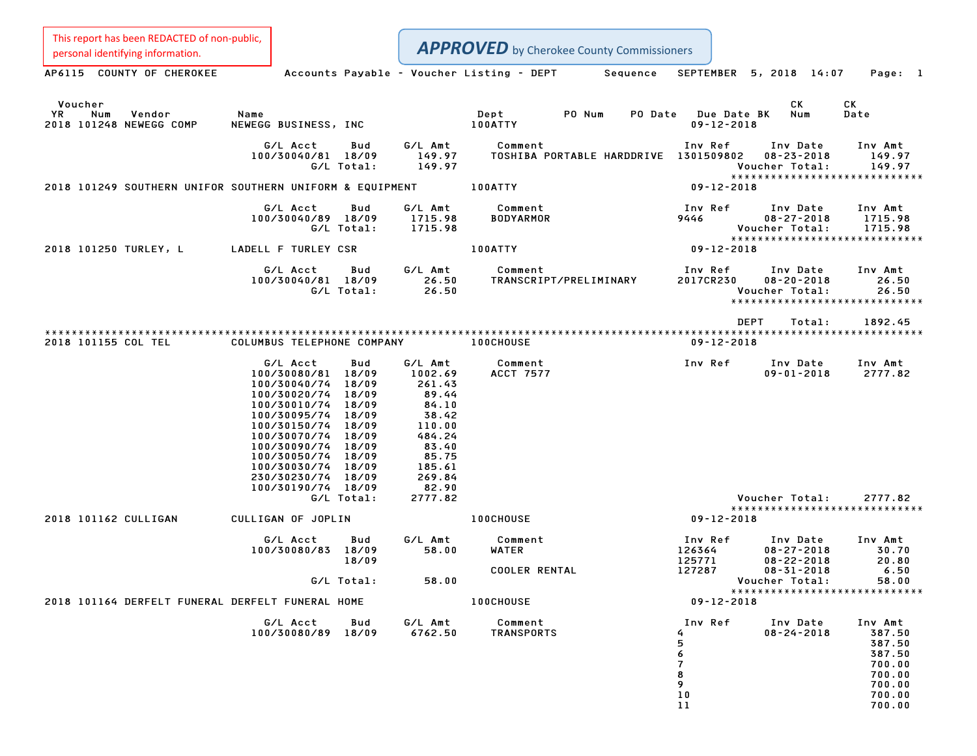| This report has been REDACTED of non-public,<br>personal identifying information. |                                                                                                                                                                                                                                                          |                                         |                                                                                                                            | <b>APPROVED</b> by Cherokee County Commissioners |                                                                          |                                                                      |                                                                                         |  |
|-----------------------------------------------------------------------------------|----------------------------------------------------------------------------------------------------------------------------------------------------------------------------------------------------------------------------------------------------------|-----------------------------------------|----------------------------------------------------------------------------------------------------------------------------|--------------------------------------------------|--------------------------------------------------------------------------|----------------------------------------------------------------------|-----------------------------------------------------------------------------------------|--|
| AP6115 COUNTY OF CHEROKEE                                                         |                                                                                                                                                                                                                                                          |                                         |                                                                                                                            | Accounts Payable - Voucher Listing - DEPT        | Sequence                                                                 | SEPTEMBER 5, 2018 14:07                                              | Page: 1                                                                                 |  |
| Voucher<br>Num<br>Vendor<br>ΥR<br>2018 101248 NEWEGG COMP                         | Name<br>NEWEGG BUSINESS, INC                                                                                                                                                                                                                             |                                         |                                                                                                                            | Dept<br>PO Num<br>100ATTY                        | PO Date                                                                  | CK<br><b>Due Date BK</b><br>$09 - 12 - 2018$                         | СK<br>Date<br>Num                                                                       |  |
|                                                                                   | G/L Acct<br>100/30040/81 18/09                                                                                                                                                                                                                           | Bud<br>G/L Total:                       | G/L Amt<br>149.97<br>149.97                                                                                                | Comment<br>TOSHIBA PORTABLE HARDDRIVE 1301509802 | Inv Ref                                                                  | Inv Date<br>$08 - 23 - 2018$<br>Voucher Total:                       | Inv Amt<br>149.97<br>149.97                                                             |  |
| 2018 101249 SOUTHERN UNIFOR SOUTHERN UNIFORM & EQUIPMENT                          |                                                                                                                                                                                                                                                          |                                         |                                                                                                                            | 100ATTY                                          |                                                                          | $09 - 12 - 2018$                                                     | *****************************                                                           |  |
|                                                                                   | G/L Acct<br>100/30040/89 18/09                                                                                                                                                                                                                           | Bud<br>G/L Total:                       | G/L Amt<br>1715.98<br>1715.98                                                                                              | Comment<br><b>BODYARMOR</b>                      | Inv Ref<br>9446                                                          | Inv Date<br>$08 - 27 - 2018$<br>Voucher Total:                       | Inv Amt<br>1715.98<br>1715.98<br>*****************************                          |  |
| 2018 101250 TURLEY, L                                                             | LADELL F TURLEY CSR                                                                                                                                                                                                                                      |                                         |                                                                                                                            | 100ATTY                                          |                                                                          | $09 - 12 - 2018$                                                     |                                                                                         |  |
|                                                                                   | G/L Acct<br>100/30040/81 18/09                                                                                                                                                                                                                           | Bud<br>G/L Total:                       | G/L Amt<br>26.50<br>26.50                                                                                                  | Comment<br>TRANSCRIPT/PRELIMINARY                | Inv Ref<br>2017CR230                                                     | Inv Date<br>$08 - 20 - 2018$<br>Voucher Total:                       | Inv Amt<br>26.50<br>26.50<br>*****************************                              |  |
|                                                                                   |                                                                                                                                                                                                                                                          |                                         |                                                                                                                            |                                                  |                                                                          | <b>DEPT</b>                                                          | Total:<br>1892.45                                                                       |  |
| 2018 101155 COL TEL                                                               | COLUMBUS TELEPHONE COMPANY                                                                                                                                                                                                                               |                                         |                                                                                                                            | 100CHOUSE                                        |                                                                          | $09 - 12 - 2018$                                                     |                                                                                         |  |
|                                                                                   | G/L Acct<br>100/30080/81 18/09<br>100/30040/74<br>100/30020/74 18/09<br>100/30010/74 18/09<br>100/30095/74<br>100/30150/74 18/09<br>100/30070/74<br>100/30090/74 18/09<br>100/30050/74 18/09<br>100/30030/74<br>230/30230/74 18/09<br>100/30190/74 18/09 | Bud<br>18/09<br>18/09<br>18/09<br>18/09 | G/L Amt<br>1002.69<br>261.43<br>89.44<br>84.10<br>38.42<br>110.00<br>484.24<br>83.40<br>85.75<br>185.61<br>269.84<br>82.90 | Comment<br><b>ACCT 7577</b>                      | Inv Ref                                                                  | Inv Date<br>$09 - 01 - 2018$                                         | Inv Amt<br>2777.82                                                                      |  |
|                                                                                   |                                                                                                                                                                                                                                                          | G/L Total:                              | 2777.82                                                                                                                    |                                                  |                                                                          | Voucher Total:                                                       | 2777.82<br>*****************************                                                |  |
| 2018 101162 CULLIGAN                                                              | CULLIGAN OF JOPLIN                                                                                                                                                                                                                                       |                                         |                                                                                                                            | <b>100CHOUSE</b>                                 |                                                                          | $09 - 12 - 2018$                                                     |                                                                                         |  |
|                                                                                   | G/L Acct<br>100/30080/83 18/09                                                                                                                                                                                                                           | Bud<br>18/09                            | G/L Amt<br>58.00                                                                                                           | Comment<br><b>WATER</b><br><b>COOLER RENTAL</b>  | Inv Ref<br>126364<br>125771<br>127287                                    | Inv Date<br>$08 - 27 - 2018$<br>$08 - 22 - 2018$<br>$08 - 31 - 2018$ | Inv Amt<br>30.70<br>20.80<br>6.50                                                       |  |
|                                                                                   |                                                                                                                                                                                                                                                          | G/L Total:                              | 58.00                                                                                                                      |                                                  |                                                                          | Voucher Total:                                                       | 58.00<br>*****************************                                                  |  |
| 2018 101164 DERFELT FUNERAL DERFELT FUNERAL HOME                                  |                                                                                                                                                                                                                                                          |                                         |                                                                                                                            | <b>100CHOUSE</b>                                 |                                                                          | $09 - 12 - 2018$                                                     |                                                                                         |  |
|                                                                                   | G/L Acct Bud<br>100/30080/89 18/09                                                                                                                                                                                                                       |                                         | G/L Amt<br>6762.50                                                                                                         | Comment<br>TRANSPORTS                            | Inv Ref<br>4<br>5<br>6<br>$\overline{\phantom{a}}$<br>8<br>9<br>10<br>11 | Inv Date<br>$08 - 24 - 2018$                                         | Inv Amt<br>387.50<br>387.50<br>387.50<br>700.00<br>700.00<br>700.00<br>700.00<br>700.00 |  |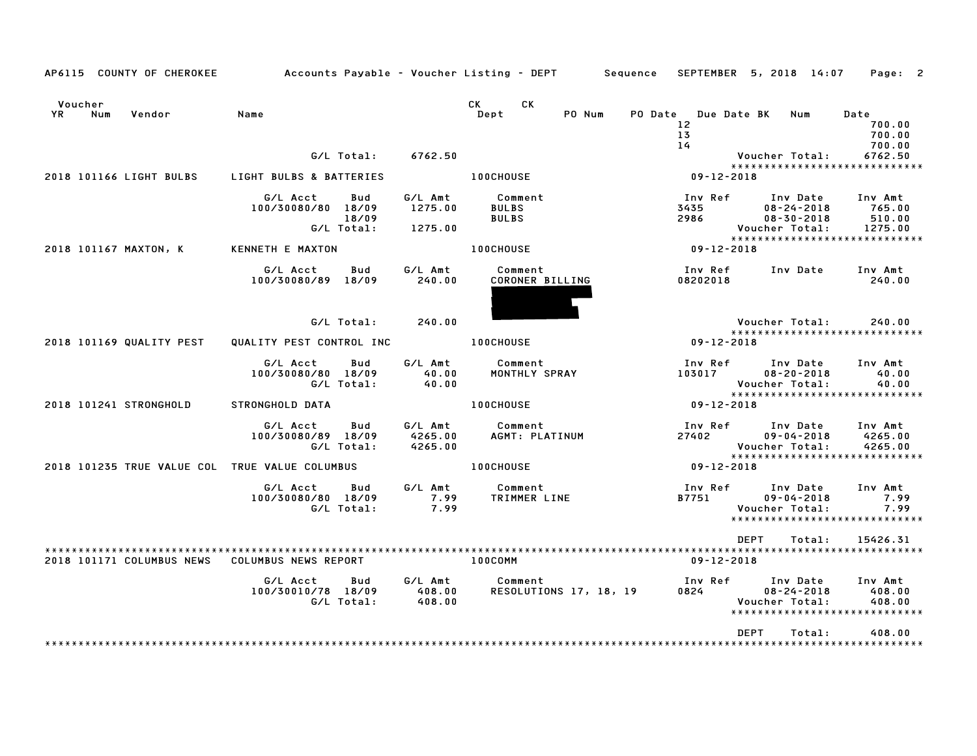| AP6115 COUNTY OF CHEROKEE                      | Accounts Payable – Voucher Listing – DEPT       Sequence   SEPTEMBER  5, 2018  14:07    Page:  2 |                               |                                      |                                        |                                                                                 |                               |
|------------------------------------------------|--------------------------------------------------------------------------------------------------|-------------------------------|--------------------------------------|----------------------------------------|---------------------------------------------------------------------------------|-------------------------------|
| Voucher<br><b>YR</b><br>Num<br>Vendor          | Name                                                                                             |                               | CK<br>CK.<br>Dept<br>PO Num          | PO Date Due Date BK<br>12 <sup>2</sup> | Num                                                                             | Date<br>700.00                |
|                                                |                                                                                                  |                               |                                      | 13 <sub>1</sub><br>14                  |                                                                                 | 700.00<br>700.00              |
|                                                | G/L Total:                                                                                       | 6762.50                       |                                      |                                        | Voucher Total:                                                                  | 6762.50                       |
| 2018 101166 LIGHT BULBS                        | LIGHT BULBS & BATTERIES                                                                          |                               | <b>100CHOUSE</b>                     | 09-12-2018                             | *****************************                                                   |                               |
|                                                |                                                                                                  |                               |                                      |                                        |                                                                                 |                               |
|                                                | G/L Acct<br>Bud<br>100/30080/80 18/09                                                            | G/L Amt<br>1275.00            | Comment<br><b>BULBS</b>              | Inv Ref<br>3435                        | Inv Date<br>$08 - 24 - 2018$                                                    | Inv Amt<br>765.00             |
|                                                | 18/09                                                                                            |                               | <b>BULBS</b>                         | 2986                                   | $08 - 30 - 2018$                                                                | 510.00                        |
|                                                | G/L Total:                                                                                       | 1275.00                       |                                      |                                        | Voucher Total:                                                                  | 1275.00                       |
| 2018 101167 MAXTON, K                          | KENNETH E MAXTON                                                                                 |                               | <b>100CHOUSE</b>                     | $09 - 12 - 2018$                       | ******************************                                                  |                               |
|                                                |                                                                                                  |                               |                                      |                                        |                                                                                 |                               |
|                                                | G/L Acct<br>Bud<br>100/30080/89 18/09                                                            | G/L Amt<br>240.00             | Comment<br>CORONER BILLING           | Inv Ref<br>08202018                    | Inv Date                                                                        | Inv Amt<br>240.00             |
|                                                | G/L Total:                                                                                       | 240.00                        |                                      |                                        | Voucher Total:                                                                  | 240.00                        |
|                                                |                                                                                                  |                               |                                      |                                        | *****************************                                                   |                               |
| 2018 101169 QUALITY PEST                       | QUALITY PEST CONTROL INC                                                                         |                               | <b>100CHOUSE</b>                     | $09 - 12 - 2018$                       |                                                                                 |                               |
|                                                | G/L Acct<br>Bud<br>100/30080/80 18/09<br>G/L Total:                                              | G/L Amt<br>40.00<br>40.00     | Comment<br>MONTHLY SPRAY             | Inv Ref<br>103017                      | Inv Date<br>$08 - 20 - 2018$<br>Voucher Total:                                  | Inv Amt<br>40.00<br>40.00     |
|                                                |                                                                                                  |                               |                                      |                                        | *****************************                                                   |                               |
| 2018 101241 STRONGHOLD                         | STRONGHOLD DATA                                                                                  |                               | <b>100CHOUSE</b>                     | $09 - 12 - 2018$                       |                                                                                 |                               |
|                                                | G/L Acct<br>Bud<br>100/30080/89 18/09<br>G/L Total:                                              | G/L Amt<br>4265.00<br>4265.00 | Comment<br>AGMT: PLATINUM            | Inv Ref<br>27402                       | Inv Date<br>$09 - 04 - 2018$<br>Voucher Total:<br>***************************** | Inv Amt<br>4265.00<br>4265.00 |
| 2018 101235 TRUE VALUE COL TRUE VALUE COLUMBUS |                                                                                                  |                               | <b>100CHOUSE</b>                     | 09-12-2018                             |                                                                                 |                               |
|                                                | G/L Acct<br>Bud<br>100/30080/80 18/09<br>G/L Total:                                              | G/L Amt<br>7.99<br>7.99       | Comment<br>TRIMMER LINE              | Inv Ref<br>B7751                       | Inv Date<br>$09 - 04 - 2018$<br>Voucher Total:<br>***************************** | Inv Amt<br>7.99<br>7.99       |
|                                                |                                                                                                  |                               |                                      |                                        | <b>DEPT</b><br>Total:                                                           | 15426.31                      |
| 2018 101171 COLUMBUS NEWS                      | COLUMBUS NEWS REPORT                                                                             |                               | * * * * * * * * * * * * *<br>100COMM | ******************<br>09-12-2018       |                                                                                 | ************************      |
|                                                | G/L Acct<br>Bud<br>100/30010/78 18/09<br>G/L Total:                                              | G/L Amt<br>408.00<br>408.00   | Comment<br>RESOLUTIONS 17, 18, 19    | Inv Ref<br>0824 7                      | Inv Date<br>$08 - 24 - 2018$<br>Voucher Total:                                  | Inv Amt<br>408.00<br>408.00   |
|                                                |                                                                                                  |                               |                                      |                                        | *****************************                                                   |                               |
|                                                |                                                                                                  |                               |                                      |                                        | <b>DEPT</b><br>Total:                                                           | 408.00                        |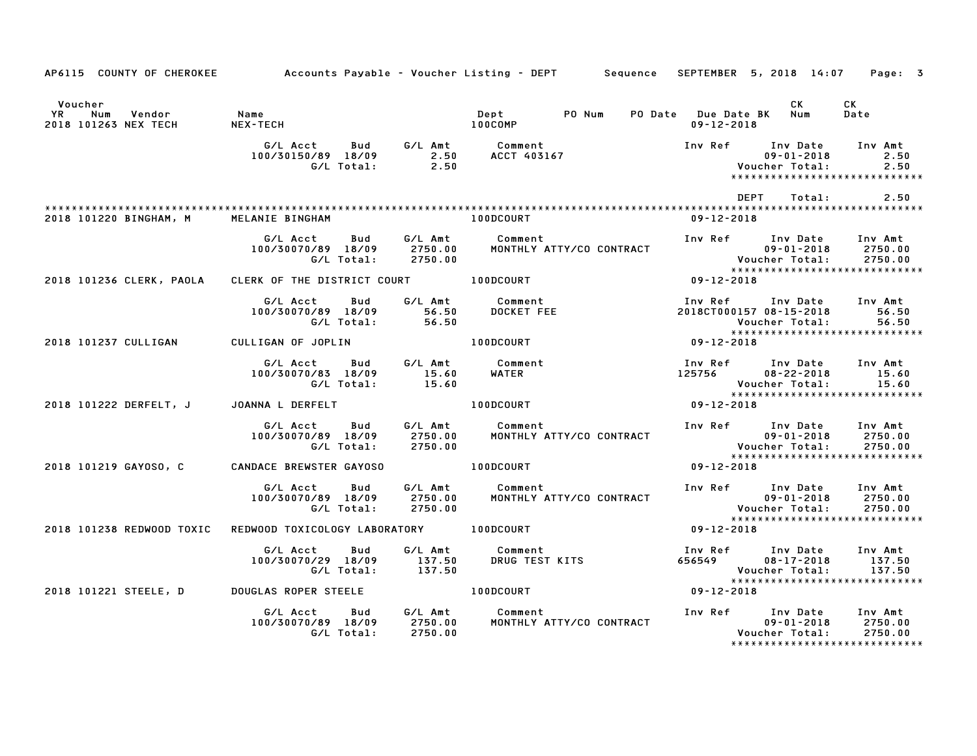|               | AP6115 COUNTY OF CHEROKEE             |                                                     |                               | Accounts Payable – Voucher Listing – DEPT         Sequence |                                         | SEPTEMBER 5, 2018 14:07                                                                 | Page: 3                       |
|---------------|---------------------------------------|-----------------------------------------------------|-------------------------------|------------------------------------------------------------|-----------------------------------------|-----------------------------------------------------------------------------------------|-------------------------------|
| Voucher<br>YR | Num<br>Vendor<br>2018 101263 NEX TECH | Name<br><b>NEX-TECH</b>                             |                               | PO Num<br>Dept<br>100COMP                                  | PO Date Due Date BK<br>$09 - 12 - 2018$ | CK<br>Num                                                                               | CK<br>Date                    |
|               |                                       | G/L Acct<br>Bud<br>100/30150/89 18/09<br>G/L Total: | G/L Amt<br>2.50<br>2.50       | Comment<br>ACCT 403167                                     | Inv Ref                                 | Inv Date<br>$09 - 01 - 2018$<br>Voucher Total:<br>******************************        | Inv Amt<br>2.50<br>2.50       |
|               |                                       |                                                     |                               |                                                            |                                         | DEPT<br>Total:                                                                          | 2.50                          |
|               | 2018 101220 BINGHAM, M                | MELANIE BINGHAM                                     |                               | 100DCOURT                                                  | $09 - 12 - 2018$                        |                                                                                         |                               |
|               |                                       | Bud<br>G/L Acct<br>100/30070/89 18/09<br>G/L Total: | G/L Amt<br>2750.00<br>2750.00 | Comment<br>MONTHLY ATTY/CO CONTRACT                        |                                         | Inv Ref      Inv Date<br>$09 - 01 - 2018$<br>Voucher Total:                             | Inv Amt<br>2750.00<br>2750.00 |
|               | 2018 101236 CLERK, PAOLA              | CLERK OF THE DISTRICT COURT 100DCOURT               |                               |                                                            | $09 - 12 - 2018$                        |                                                                                         |                               |
|               |                                       | G/L Acct<br>Bud<br>100/30070/89 18/09<br>G/L Total: | G/L Amt<br>56.50<br>56.50     | Comment<br>DOCKET FEE                                      | Inv Ref                                 | Inv Date<br>2018CT000157 08-15-2018<br>Voucher Total:<br>*****************************  | Inv Amt<br>56.50<br>56.50     |
|               | 2018 101237 CULLIGAN                  | CULLIGAN OF JOPLIN                                  |                               | 100DCOURT                                                  | 09-12-2018                              |                                                                                         |                               |
|               |                                       | G/L Acct<br>Bud<br>100/30070/83 18/09<br>G/L Total: | G/L Amt<br>15.60<br>15.60     | Comment<br>WATER                                           | 125756                                  | Inv Ref Inv Date<br>$08 - 22 - 2018$<br>Voucher Total:                                  | Inv Amt<br>15.60<br>15.60     |
|               | 2018 101222 DERFELT, J                | JOANNA L DERFELT                                    |                               | 100DCOURT                                                  | 09-12-2018                              | *****************************                                                           |                               |
|               |                                       | G/L Acct<br>Bud<br>100/30070/89 18/09<br>G/L Total: | G/L Amt<br>2750.00<br>2750.00 | Comment<br>MONTHLY ATTY/CO CONTRACT                        |                                         | Inv Ref Inv Date<br>$09 - 01 - 2018$<br>Voucher Total:<br>***************************** | Inv Amt<br>2750.00<br>2750.00 |
|               | 2018 101219 GAYOSO, C                 | CANDACE BREWSTER GAYOSO                             |                               | <b>100DCOURT</b>                                           | 09-12-2018                              |                                                                                         |                               |
|               |                                       | G/L Acct<br>Bud<br>100/30070/89 18/09<br>G/L Total: | G/L Amt<br>2750.00<br>2750.00 | Comment<br>MONTHLY ATTY/CO CONTRACT                        |                                         | Inv Ref Inv Date<br>$09 - 01 - 2018$<br>Voucher Total:<br>***************************** | Inv Amt<br>2750.00<br>2750.00 |
|               | 2018 101238 REDWOOD TOXIC             | REDWOOD TOXICOLOGY LABORATORY 100DCOURT             |                               |                                                            | 09-12-2018                              |                                                                                         |                               |
|               |                                       | G/L Acct<br>Bud<br>100/30070/29 18/09<br>G/L Total: | G/L Amt<br>137.50<br>137.50   | Comment<br>DRUG TEST KITS                                  | Inv Ref<br>656549                       | Inv Date<br>08-17-2018<br>Voucher Total:<br>******************************              | Inv Amt<br>137.50<br>137.50   |
|               | 2018 101221 STEELE, D                 | <b>DOUGLAS ROPER STEELE</b>                         |                               | 100DCOURT                                                  | 09-12-2018                              |                                                                                         |                               |
|               |                                       | G/L Acct<br>Bud<br>100/30070/89 18/09<br>G/L Total: | G/L Amt<br>2750.00<br>2750.00 | Comment<br>MONTHLY ATTY/CO CONTRACT                        | Inv Ref                                 | Inv Date<br>$09 - 01 - 2018$<br>Voucher Total:<br>*****************************         | Inv Amt<br>2750.00<br>2750.00 |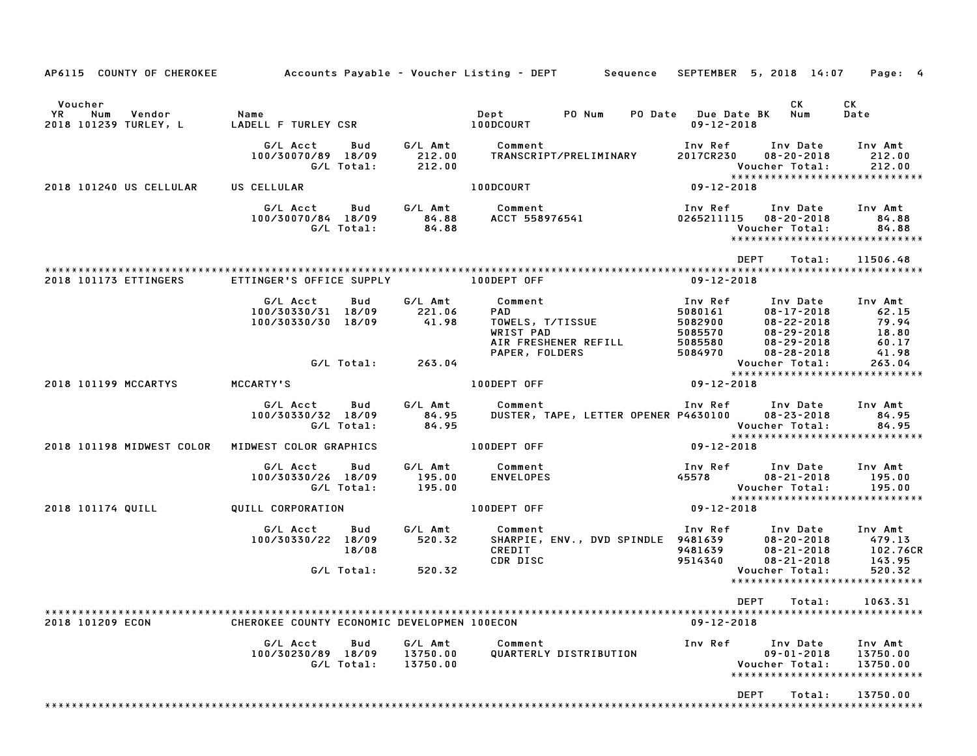| AP6115 COUNTY OF CHEROKEE Accounts Payable - Voucher Listing - DEPT Sequence SEPTEMBER 5, 2018 14:07 |                                                      |                   |                                 |                                                                                                                         |                                       |                                                                                                                                      | Page: 4                         |
|------------------------------------------------------------------------------------------------------|------------------------------------------------------|-------------------|---------------------------------|-------------------------------------------------------------------------------------------------------------------------|---------------------------------------|--------------------------------------------------------------------------------------------------------------------------------------|---------------------------------|
| Voucher                                                                                              |                                                      |                   |                                 |                                                                                                                         | PO Date Due Date BK Num<br>09-12-2018 | CK.                                                                                                                                  | CK<br>Date                      |
|                                                                                                      |                                                      |                   | G/L Total: 212.00               | G/L Acct        Bud         G/L Amt             Comment<br>100/30070/89 18/09 212.00 TRANSCRIPT/PRELIMINARY             | 2017CR230                             | Inv Ref Inv Date Inv Amt<br>$08 - 20 - 2018$<br>Voucher Total:                                                                       | 212.00<br>212.00                |
| 2018 101240 US CELLULAR                                                                              | US CELLULAR                                          |                   |                                 | <b>100DCOURT</b>                                                                                                        | $09 - 12 - 2018$                      | *****************************                                                                                                        |                                 |
|                                                                                                      |                                                      |                   |                                 | G/LAcct Bud G/LAmt Comment 1nvRef InvDate InvAmt<br>100/30070/84_18/09 84.88 ACCT 558976541 0265211115 08-20-2018 84.88 |                                       | Voucher Total:<br>*****************************                                                                                      | 84.88<br>84.88                  |
|                                                                                                      |                                                      |                   |                                 |                                                                                                                         |                                       | DEPT<br>Total:                                                                                                                       | 11506.48                        |
| 2018 101173 ETTINGERS                                                                                | ETTINGER'S OFFICE SUPPLY <b>100DEPT OFF</b>          |                   |                                 |                                                                                                                         | 09-12-2018                            |                                                                                                                                      |                                 |
|                                                                                                      | G/L Acct<br>100/30330/31 18/09<br>100/30330/30 18/09 | Bud               | 221.06<br>41.98                 | G/L Amt Comment<br>PAD<br>TOWELS, T/TISSUE<br>WRIST PAD<br>WRIST PAD<br>AIR FRESHENER REFILL                            | Inv Ref                               | Inv Date Inv Amt<br>1000161<br>108-17-2018 62.15<br>5082900 08-22-2018 79.94<br>5085570 08-29-2018 18.80<br>5085580 08-29-2018 60.17 |                                 |
|                                                                                                      |                                                      | G/L Total:        | 263.04                          | PAPER, FOLDERS                                                                                                          | 5084970                               | 08-28-2018<br>Voucher Total: 263.04<br>****************************                                                                  | 41.98                           |
| 2018 101199 MCCARTYS                                                                                 | MCCARTY'S                                            |                   |                                 | 100DEPT OFF                                                                                                             | $09 - 12 - 2018$                      |                                                                                                                                      |                                 |
|                                                                                                      | G/L Acct<br>100/30330/32 18/09                       | Bud<br>G/L Total: | 84.95<br>84.95                  | G/L Amt Comment<br>DUSTER, TAPE, LETTER OPENER P4630100 08-23-2018                                                      |                                       | Inv Ref Inv Date Inv Amt<br>Voucher Total:<br>*****************************                                                          | 84.95<br>84.95                  |
| 2018 101198 MIDWEST COLOR                                                                            | MIDWEST COLOR GRAPHICS                               |                   |                                 | 100DEPT OFF                                                                                                             | $09 - 12 - 2018$                      |                                                                                                                                      |                                 |
|                                                                                                      | G/L Acct<br>100/30330/26 18/09                       | Bud<br>G/L Total: | 195.00<br>195.00                | G/L Amt Comment<br><b>ENVELOPES</b>                                                                                     |                                       | Inv Ref Inv Date Inv Amt<br>45578 08-21-2018<br>Voucher Total:                                                                       | 195.00<br>195.00                |
| 2018 101174 QUILL                                                                                    |                                                      |                   |                                 | QUILL CORPORATION <b>CONSIDERT OF ALCORATION</b>                                                                        | $09 - 12 - 2018$                      |                                                                                                                                      |                                 |
|                                                                                                      | G/L Acct   Bud<br>100/30330/22 18/09                 | 18/08             | 520.32                          | G/L Amt Comment<br>CDR DISC                                                                                             | 9514340                               | Inv Ref Inv Date Inv Amt<br>08-20-2018<br>08-21-2018<br>$08 - 21 - 2018$                                                             | 479.13<br>102.76CR              |
|                                                                                                      |                                                      | G/L Total:        | 520.32                          |                                                                                                                         |                                       | Voucher Total:<br>*****************************                                                                                      | 143.95<br>520.32<br>520.32      |
|                                                                                                      |                                                      |                   |                                 |                                                                                                                         |                                       | DEPT Total: 1063.31                                                                                                                  |                                 |
| 2018 101209 ECON                                                                                     | CHEROKEE COUNTY ECONOMIC DEVELOPMEN 100ECON          |                   |                                 |                                                                                                                         | $09 - 12 - 2018$                      |                                                                                                                                      |                                 |
|                                                                                                      | G/L Acct<br>100/30230/89 18/09                       | Bud<br>G/L Total: | G/L Amt<br>13750.00<br>13750.00 | Comment<br>QUARTERLY DISTRIBUTION                                                                                       | Inv Ref                               | Inv Date<br>$09 - 01 - 2018$<br>Voucher Total:<br>*****************************                                                      | Inv Amt<br>13750.00<br>13750.00 |
|                                                                                                      |                                                      |                   |                                 |                                                                                                                         |                                       | DEPT<br>Total:                                                                                                                       | 13750.00                        |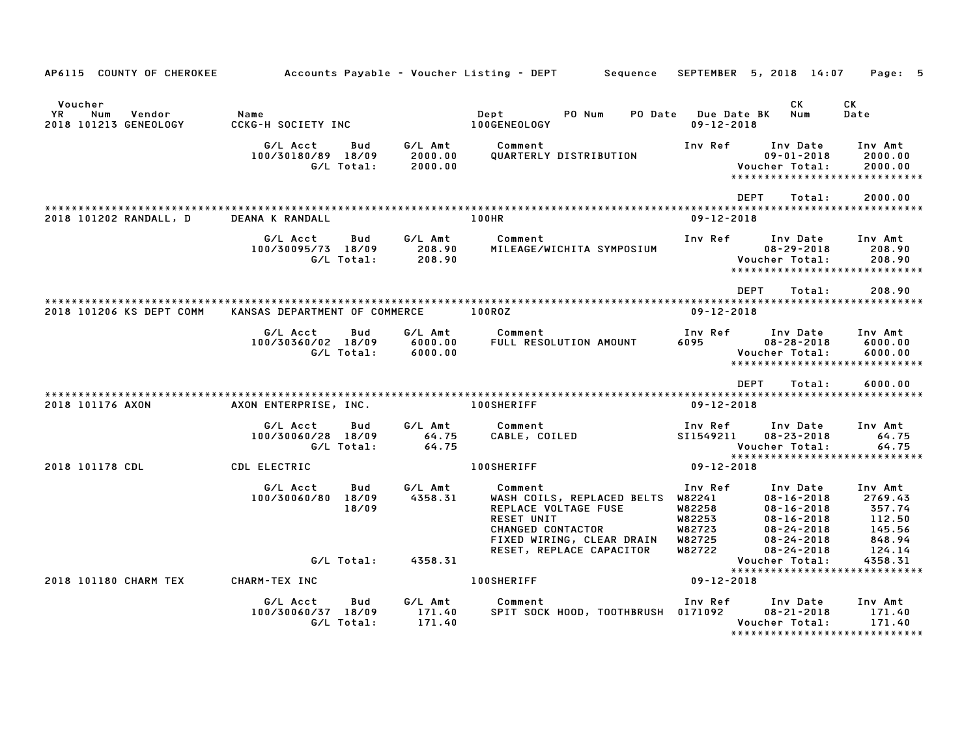| AP6115 COUNTY OF CHEROKEE                               |                                              |                       |                               | Accounts Payable – Voucher Listing – DEPT<br>Sequence                                                                                | SEPTEMBER                                                 | 5, 2018 14:07                                                                                                | Page: 5                                                    |
|---------------------------------------------------------|----------------------------------------------|-----------------------|-------------------------------|--------------------------------------------------------------------------------------------------------------------------------------|-----------------------------------------------------------|--------------------------------------------------------------------------------------------------------------|------------------------------------------------------------|
| Voucher<br>YR<br>Num<br>Vendor<br>2018 101213 GENEOLOGY | Name<br><b>CCKG-H SOCIETY INC</b>            |                       |                               | Dept<br>PO Num<br>PO Date<br>100GENEOLOGY                                                                                            | <b>Due Date BK</b><br>$09 - 12 - 2018$                    | CK<br>Num                                                                                                    | СK<br>Date                                                 |
|                                                         | G/L Acct<br>100/30180/89 18/09               | Bud<br>G/L Total:     | G/L Amt<br>2000.00<br>2000.00 | Comment<br>QUARTERLY DISTRIBUTION                                                                                                    | Inv Ref                                                   | Inv Date<br>$09 - 01 - 2018$<br>Voucher Total:<br>******************************                             | Inv Amt<br>2000.00<br>2000.00                              |
|                                                         |                                              |                       |                               |                                                                                                                                      |                                                           | <b>DEPT</b><br>Total:                                                                                        | 2000.00                                                    |
| 2018 101202 RANDALL, D                                  | DEANA K RANDALL                              |                       |                               | 100HR                                                                                                                                | $09 - 12 - 2018$                                          |                                                                                                              |                                                            |
|                                                         | G/L Acct<br>100/30095/73 18/09               | Bud<br>G/L Total:     | G/L Amt<br>208.90<br>208.90   | Comment<br>MILEAGE/WICHITA SYMPOSIUM                                                                                                 | Inv Ref                                                   | Inv Date<br>$08 - 29 - 2018$<br>Voucher Total:<br>*****************************                              | Inv Amt<br>208.90<br>208.90                                |
|                                                         |                                              |                       |                               |                                                                                                                                      |                                                           |                                                                                                              |                                                            |
|                                                         |                                              |                       |                               |                                                                                                                                      |                                                           | <b>DEPT</b><br>Total:                                                                                        | 208.90                                                     |
| 2018 101206 KS DEPT COMM                                | KANSAS DEPARTMENT OF COMMERCE                |                       |                               | 100ROZ                                                                                                                               | $09 - 12 - 2018$                                          |                                                                                                              |                                                            |
|                                                         | G/L Acct<br>100/30360/02 18/09               | Bud<br>G/L Total:     | G/L Amt<br>6000.00<br>6000.00 | Comment<br>FULL RESOLUTION AMOUNT                                                                                                    | Inv Ref<br>6095                                           | Inv Date<br>$08 - 28 - 2018$<br>Voucher Total:<br>*****************************                              | Inv Amt<br>6000.00<br>6000.00                              |
|                                                         |                                              |                       |                               |                                                                                                                                      |                                                           | <b>DEPT</b><br>Total:                                                                                        | 6000.00                                                    |
| 2018 101176 AXON                                        | AXON ENTERPRISE, INC.                        |                       |                               | <b>100SHERIFF</b>                                                                                                                    | $09 - 12 - 2018$                                          |                                                                                                              |                                                            |
|                                                         | G/L Acct<br>100/30060/28 18/09<br>G/L Total: | Bud                   | G/L Amt<br>64.75<br>64.75     | Comment<br>CABLE, COILED                                                                                                             | Inv Ref<br>SI1549211                                      | Inv Date<br>$08 - 23 - 2018$<br>Voucher Total:<br>******************************                             | Inv Amt<br>64.75<br>64.75                                  |
| 2018 101178 CDL                                         | CDL ELECTRIC                                 |                       |                               | 100SHERIFF                                                                                                                           | $09 - 12 - 2018$                                          |                                                                                                              |                                                            |
|                                                         | G/L Acct<br>100/30060/80                     | Bud<br>18/09<br>18/09 | G/L Amt<br>4358.31            | Comment<br>WASH COILS, REPLACED BELTS<br>REPLACE VOLTAGE FUSE<br><b>RESET UNIT</b><br>CHANGED CONTACTOR<br>FIXED WIRING, CLEAR DRAIN | Inv Ref<br>W82241<br>W82258<br>W82253<br>W82723<br>W82725 | Inv Date<br>$08 - 16 - 2018$<br>$08 - 16 - 2018$<br>$08 - 16 - 2018$<br>$08 - 24 - 2018$<br>$08 - 24 - 2018$ | Inv Amt<br>2769.43<br>357.74<br>112.50<br>145.56<br>848.94 |
|                                                         |                                              | G/L Total:            | 4358.31                       | RESET, REPLACE CAPACITOR                                                                                                             | W82722                                                    | $08 - 24 - 2018$<br>Voucher Total:<br>*****************************                                          | 124.14<br>4358.31                                          |
| 2018 101180 CHARM TEX                                   | CHARM-TEX INC                                |                       |                               | <b>100SHERIFF</b>                                                                                                                    | $09 - 12 - 2018$                                          |                                                                                                              |                                                            |
|                                                         | G/L Acct<br>100/30060/37 18/09<br>G/L Total: | Bud                   | G/L Amt<br>171.40<br>171.40   | Comment<br>SPIT SOCK HOOD, TOOTHBRUSH 0171092                                                                                        | Inv Ref                                                   | Inv Date<br>$08 - 21 - 2018$<br>Voucher Total:<br>*******************************                            | Inv Amt<br>171.40<br>171.40                                |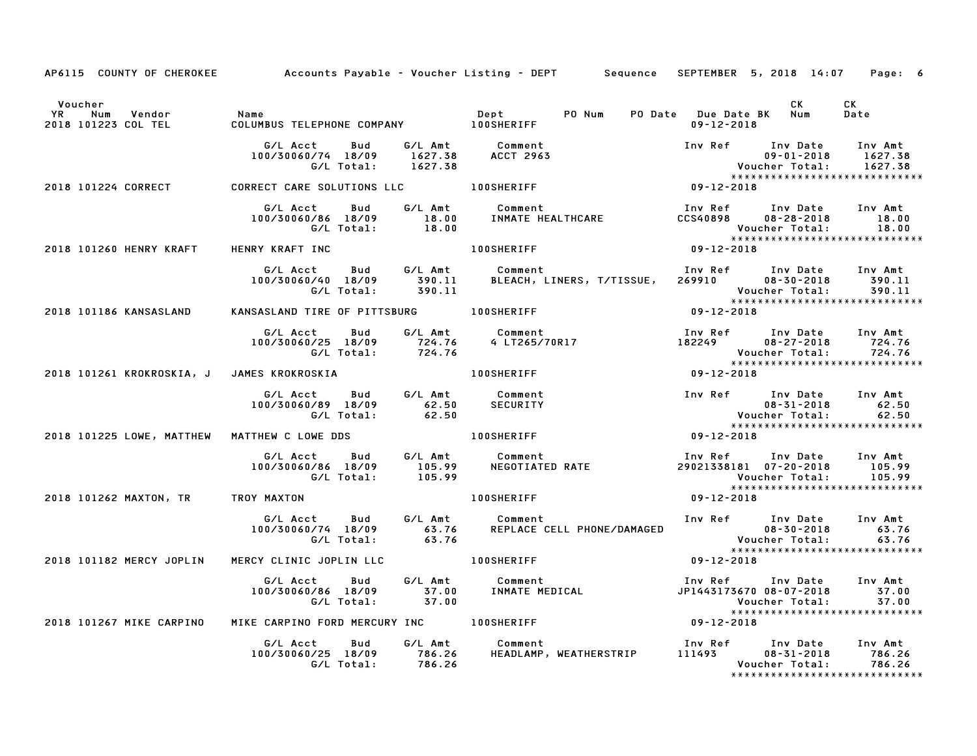|                                                            |                                                                                              | AP6115 COUNTY OF CHEROKEE Accounts Payable - Voucher Listing - DEPT Sequence SEPTEMBER 5, 2018 14:07 Page: 6                                                                                                                            |                                             |                                |                               |
|------------------------------------------------------------|----------------------------------------------------------------------------------------------|-----------------------------------------------------------------------------------------------------------------------------------------------------------------------------------------------------------------------------------------|---------------------------------------------|--------------------------------|-------------------------------|
| Voucher                                                    |                                                                                              |                                                                                                                                                                                                                                         | PO Date Due Date BK Num<br>$09 - 12 - 2018$ | <b>CK</b>                      | CK<br>Date                    |
|                                                            |                                                                                              | G/L Acct Bud G/L Amt Comment Inv Ref Inv Date Inv Amt<br>100/30060/74 18/09 1627.38 ACCT 2963 09-01-2018 1627.38<br>G/L Total: 1627.38 ACCT 2963 Voucher Total: 1627.38<br>2018 101224 CORRECT CARE SOLUTIONS LLC 100SHERIFF 109-12-201 |                                             |                                |                               |
|                                                            |                                                                                              |                                                                                                                                                                                                                                         |                                             |                                |                               |
|                                                            |                                                                                              | G/LAcct Bud G/LAmt Comment Inv Ref Inv Date Inv Amt<br>100/30060/86 18/09 18.00 INMATE HEALTHCARE CCS40898 08-28-2018 18.00<br>CCS40898 08-28-2018 18.00 G/LTotal: 18.00<br>2018 101260 HENRY KRAFT HENRY KRAFT INC 100SHERIFF 1008ERIF |                                             |                                |                               |
|                                                            |                                                                                              |                                                                                                                                                                                                                                         |                                             |                                |                               |
|                                                            |                                                                                              | G/L Acct Bud G/L Amt Comment Inv Ref Inv Date Inv Amt<br>100/30060/40 18/09 390.11 BLEACH, LINERS, T/TISSUE, 269910 08–30–2018 390.11<br>G/L Total: 390.11 07-12-2018 Voucher Total: 390.11<br>NSASLAND TIRE OF PITTSBURG 100SHERIFF 09 |                                             |                                |                               |
| 2018 101186 KANSASLAND                                     | KANSASLAND TIRE OF PITTSBURG 100SHERIFF                                                      |                                                                                                                                                                                                                                         |                                             |                                |                               |
|                                                            |                                                                                              | G/L Acct Bud G/L Amt Comment Inv Ref Inv Date Inv Amt<br>100/30060/25 18/09 724.76 4 LT265/70R17 182249 08–27–2018 724.76<br>G/L Total: 724.76 Woucher Total: 724.76                                                                    |                                             |                                |                               |
| 2018 101261 KROKROSKIA, J JAMES KROKROSKIA NA NA NOSHERIFF |                                                                                              | $09 - 12 - 2018$                                                                                                                                                                                                                        |                                             |                                |                               |
|                                                            | G/L Acct  Bud  G/L Amt  Comment<br>100/30060/89  18/09  62.50  SECURITY<br>G/L Total:  62.50 |                                                                                                                                                                                                                                         |                                             |                                |                               |
| 2018 101225 LOWE, MATTHEW MATTHEW C LOWE DDS 40 100SHERIFF |                                                                                              |                                                                                                                                                                                                                                         |                                             |                                |                               |
|                                                            |                                                                                              |                                                                                                                                                                                                                                         | Voucher Total: 105.99                       | ****************************** |                               |
| 2018 101262 MAXTON, TR TROY MAXTON                         |                                                                                              | 100SHERIFF                                                                                                                                                                                                                              | $09 - 12 - 2018$                            |                                |                               |
|                                                            |                                                                                              | 6/L Acct Bud 6/L Amt Comment Inv Ref Inv Date Inv Amt Ind St.76<br>100/30060/74 18/09 63.76 REPLACE CELL PHONE/DAMAGED 08–30–2018 63.76<br>63.76 C/L Total: 63.76 63.76 REPLACE CELL PHONE/DAMAGED Voucher Total: 63.76                 |                                             |                                |                               |
| 2018 101182 MERCY JOPLIN                                   |                                                                                              | MERCY CLINIC JOPLIN LLC <b>100SHERIFF</b> 09-12-2018                                                                                                                                                                                    |                                             |                                |                               |
|                                                            |                                                                                              | G/LAcct Bud G/LAmt Comment Inv Ref Inv Date Inv Amt<br>100/30060/86 18/09 37.00 INMATEMEDICAL JP144317367008-07-2018 37.00<br>G/LTotal: 37.00 Woucher Total: 37.00<br>KECARPINOFORDMERCURYINC 100SHERIFF 09-12-2018                     |                                             |                                |                               |
|                                                            |                                                                                              | ever folds: the carrier of the season.<br>2018 101267 MIKE CARPINO MIKE CARPINO FORD MERCURY INC 100SHERIFF                                                                                                                             |                                             |                                |                               |
|                                                            |                                                                                              | G/L Acct      Bud      G/L Amt        Comment                         Inv Ref     Inv Date     Inv Amt<br>100/30060/25   18/09       786.26      HEADLAMP, WEATHERSTRIP        111493        08–31–2018      786.26<br>100/30060/25     |                                             |                                | ***************************** |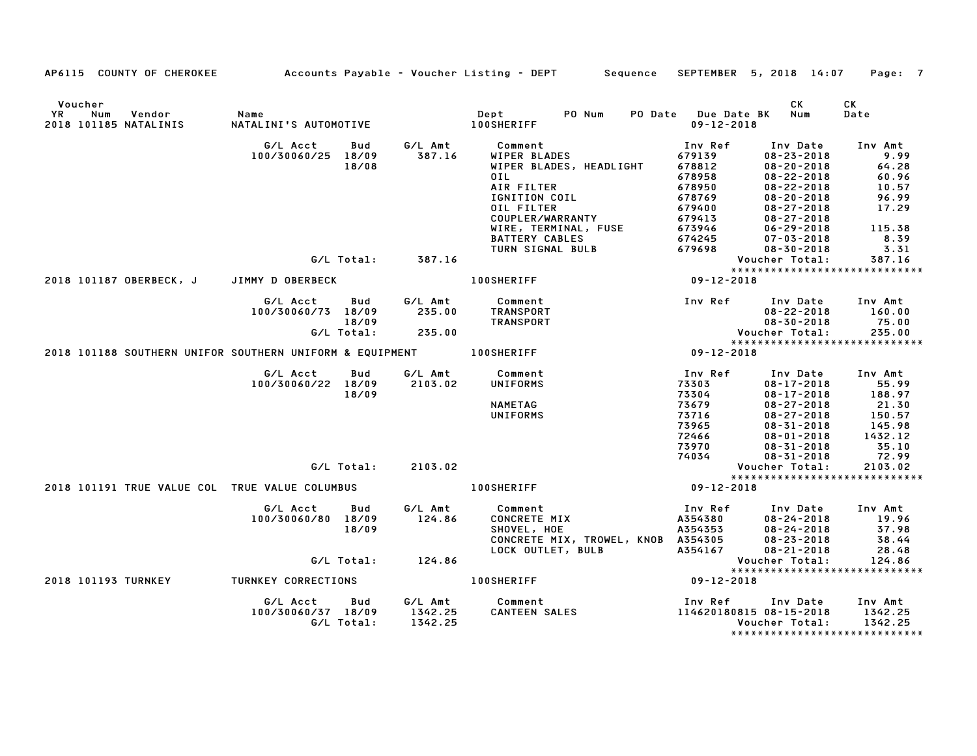| AP6115 COUNTY OF CHEROKEE                                           |                               |            |                    | Accounts Payable – Voucher Listing – DEPT         Sequence   SEPTEMBER  5, 2018  14:07     Page:  7    |                                         |                                      |                               |
|---------------------------------------------------------------------|-------------------------------|------------|--------------------|--------------------------------------------------------------------------------------------------------|-----------------------------------------|--------------------------------------|-------------------------------|
| Voucher<br>YR<br>Num<br>Vendor<br>2018 101185 NATALINIS             | Name<br>NATALINI'S AUTOMOTIVE |            |                    | PO Num<br>Dept<br>Dept<br>100SHERIFF                                                                   | PO Date Due Date BK<br>$09 - 12 - 2018$ | CK<br>Num                            | CK<br>Date                    |
|                                                                     | G/L Acct                      | Bud        | G/L Amt            | Comment                                                                                                | Inv Ref                                 | Inv Date                             | Inv Amt                       |
|                                                                     | 100/30060/25 18/09            |            | 387.16             | WIPER BLADES                                                                                           | 679139                                  | $08 - 23 - 2018$                     | 9.99                          |
|                                                                     |                               | 18/08      |                    | WIPER BLADES, HEADLIGHT                                                                                | 678812                                  | $08 - 20 - 2018$                     | 64.28                         |
|                                                                     |                               |            |                    | OIL                                                                                                    | 678958                                  | $08 - 22 - 2018$                     | 60.96                         |
|                                                                     |                               |            |                    | AIR FILTER                                                                                             | 678950                                  | $08 - 22 - 2018$                     | 10.57                         |
|                                                                     |                               |            |                    | IGNITION COIL                                                                                          | 678769                                  | $08 - 20 - 2018$                     | 96.99                         |
|                                                                     |                               |            |                    |                                                                                                        | 679400                                  | $08 - 27 - 2018$                     | 17.29                         |
|                                                                     |                               |            |                    |                                                                                                        | 679413<br>673946                        | $08 - 27 - 2018$<br>$06 - 29 - 2018$ | 115.38                        |
|                                                                     |                               |            |                    |                                                                                                        | 674245                                  | $07 - 03 - 2018$                     | 8.39                          |
|                                                                     |                               |            |                    |                                                                                                        | 679698                                  | $08 - 30 - 2018$                     | 3.31                          |
|                                                                     |                               |            | G/L Total: 387.16  |                                                                                                        |                                         | Voucher Total:                       | 387.16                        |
|                                                                     |                               |            |                    | <b>COUPLER/WARRANTY<br/>WIRE, TERMINAL, FUSE<br/>BATTERY CABLES<br/>TURN SIGNAL BULB<br/>HEPTTT</b>    |                                         | *****************************        |                               |
| 2018 101187 OBERBECK, J JIMMY D OBERBECK                            |                               |            |                    | <b>100SHERIFF</b>                                                                                      | $09 - 12 - 2018$                        |                                      |                               |
|                                                                     | G/L Acct                      | Bud        | G/L Amt            | Comment                                                                                                |                                         | Inv Ref      Inv Date                | Inv Amt                       |
|                                                                     | 100/30060/73 18/09            |            | 235.00             | TRANSPORT                                                                                              |                                         | $08 - 22 - 2018$                     | 160.00                        |
|                                                                     |                               | 18/09      |                    | TRANSPORT                                                                                              |                                         | $08 - 30 - 2018$                     | 75.00                         |
|                                                                     |                               | G/L Total: | 235.00             |                                                                                                        |                                         | Voucher Total:                       | 235.00                        |
|                                                                     |                               |            |                    |                                                                                                        |                                         | *****************************        |                               |
| 2018 101188 SOUTHERN UNIFOR SOUTHERN UNIFORM & EQUIPMENT 100SHERIFF |                               |            |                    | Vouc<br>*****<br>09-12-2018                                                                            |                                         |                                      |                               |
|                                                                     | G/L Acct                      | Bud        |                    | G/L Amt Comment                                                                                        | Inv Ref                                 | Inv Date                             | Inv Amt                       |
|                                                                     | 100/30060/22 18/09            |            | 2103.02            | UNIFORMS                                                                                               | 73303                                   | $08 - 17 - 2018$                     | 55.99                         |
|                                                                     |                               | 18/09      |                    |                                                                                                        | 73304                                   | $08 - 17 - 2018$                     | 188.97                        |
|                                                                     |                               |            |                    | <b>NAMETAG</b>                                                                                         | 73679                                   | $08 - 27 - 2018$                     | 21.30                         |
|                                                                     |                               |            |                    | UNIFORMS                                                                                               | 73716                                   | $08 - 27 - 2018$                     | 150.57                        |
|                                                                     |                               |            |                    |                                                                                                        | 73965                                   | $08 - 31 - 2018$                     | 145.98                        |
|                                                                     |                               |            |                    |                                                                                                        | 72466                                   | $08 - 01 - 2018$                     | 1432.12<br>35.10              |
|                                                                     |                               |            |                    |                                                                                                        | 73970<br>74034                          | $08 - 31 - 2018$<br>$08 - 31 - 2018$ | 72.99                         |
|                                                                     |                               |            | G/L Total: 2103.02 |                                                                                                        |                                         | Voucher Total:                       | 2103.02                       |
|                                                                     |                               |            |                    |                                                                                                        |                                         | *****************************        |                               |
| 2018 101191 TRUE VALUE COL TRUE VALUE COLUMBUS                      |                               |            |                    | $09 - 12 - 2018$<br><b>100SHERIFF</b>                                                                  |                                         |                                      |                               |
|                                                                     | G/L Acct                      | Bud        | G/L Amt            | Comment                                                                                                | Inv Ref                                 | Inv Date                             | Inv Amt                       |
|                                                                     | 100/30060/80 18/09            |            | 124.86             |                                                                                                        |                                         | $08 - 24 - 2018$                     | 19.96                         |
|                                                                     |                               | 18/09      |                    |                                                                                                        |                                         | $08 - 24 - 2018$                     | 37.98                         |
|                                                                     |                               |            |                    |                                                                                                        |                                         | $08 - 23 - 2018$                     | 38.44                         |
|                                                                     |                               |            |                    | CONCRETE MIX<br>SHOVEL, HOE A354353<br>CONCRETE MIX, TROWEL, KNOB A354353<br>LOCK OUTLET, BULB A354167 |                                         | $08 - 21 - 2018$                     | 28.48                         |
|                                                                     |                               |            | G/L Total: 124.86  |                                                                                                        |                                         | Voucher Total:                       | 124.86                        |
|                                                                     |                               |            |                    |                                                                                                        |                                         |                                      | ***************************** |
| <b>2018 101193 TURNKEY</b>                                          | TURNKEY CORRECTIONS           |            |                    | <b>100SHERIFF</b>                                                                                      | $09 - 12 - 2018$                        |                                      |                               |
|                                                                     | G/L Acct                      | Bud        |                    | G/L Amt Comment<br>Comment<br>CANTEEN SALES                                                            | Inv Ref                                 | Inv Date                             | Inv Amt                       |
|                                                                     | 100/30060/37 18/09            |            | 1342.25            |                                                                                                        |                                         |                                      | 1342.25                       |
|                                                                     |                               | G/L Total: | 1342.25            |                                                                                                        |                                         | Voucher Total:                       | 1342.25                       |
|                                                                     |                               |            |                    |                                                                                                        |                                         |                                      | ***************************** |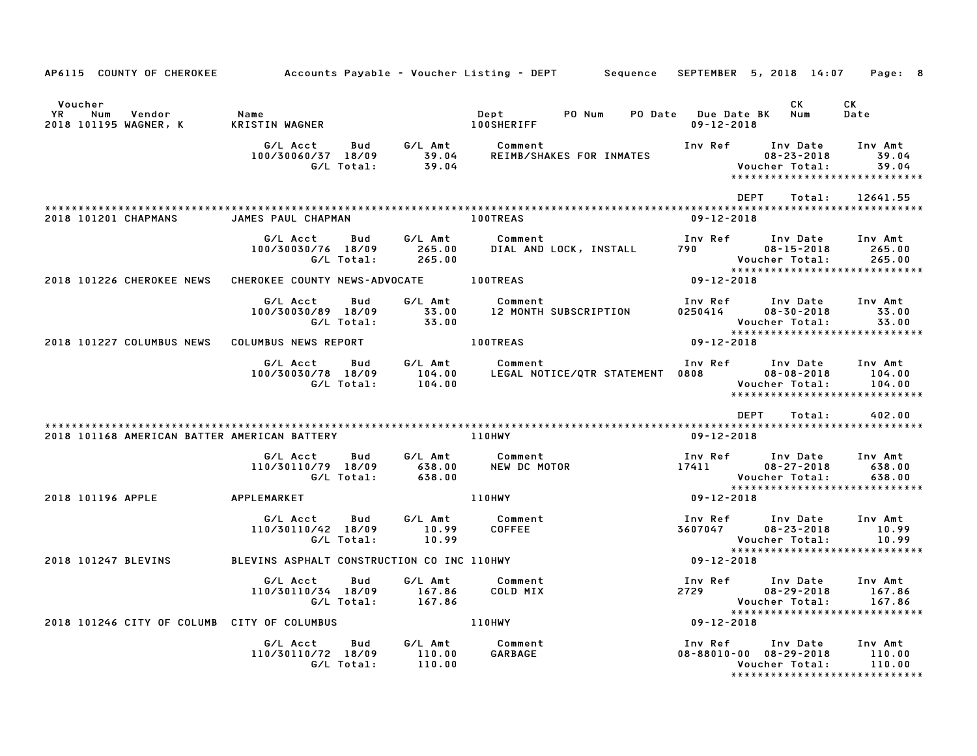| AP6115 COUNTY OF CHEROKEE                               |                                                     |                             | Accounts Payable – Voucher Listing – DEPT        Sequence |                                         | SEPTEMBER 5, 2018 14:07                                          | Page: 8                                                       |
|---------------------------------------------------------|-----------------------------------------------------|-----------------------------|-----------------------------------------------------------|-----------------------------------------|------------------------------------------------------------------|---------------------------------------------------------------|
| Voucher<br>YR<br>Num<br>Vendor<br>2018 101195 WAGNER, K | Name<br>KRISTIN WAGNER                              |                             | Dept<br>PO Num<br><b>100SHERIFF</b>                       | PO Date Due Date BK<br>$09 - 12 - 2018$ | CK<br>Num                                                        | CK<br>Date                                                    |
|                                                         | G/L Acct<br>Bud<br>100/30060/37 18/09<br>G/L Total: | G/L Amt<br>39.04<br>39.04   | Comment<br>REIMB/SHAKES FOR INMATES                       | Inv Ref                                 | Inv Date<br>$08 - 23 - 2018$<br>Voucher Total:                   | Inv Amt<br>39.04<br>39.04<br>*****************************    |
| 2018 101201 CHAPMANS                                    | JAMES PAUL CHAPMAN                                  |                             | <b>100TREAS</b>                                           | <b>DEPT</b><br>$09 - 12 - 2018$         | Total:                                                           | 12641.55                                                      |
|                                                         | G/L Acct<br>Bud<br>100/30030/76 18/09<br>G/L Total: | G/L Amt<br>265.00<br>265.00 | Comment<br>DIAL AND LOCK, INSTALL                         | Inv Ref<br>790 — 1                      | Inv Date<br>$08 - 15 - 2018$<br>Voucher Total:                   | Inv Amt<br>265.00<br>265.00<br>****************************** |
| 2018 101226 CHEROKEE NEWS                               | CHEROKEE COUNTY NEWS-ADVOCATE                       |                             | <b>100TREAS</b>                                           | $09 - 12 - 2018$                        |                                                                  |                                                               |
|                                                         | G/L Acct<br>Bud<br>100/30030/89 18/09<br>G/L Total: | G/L Amt<br>33.00<br>33.00   | Comment<br>12 MONTH SUBSCRIPTION                          | Inv Ref<br>0250414                      | Inv Date<br>$08 - 30 - 2018$<br>Voucher Total:                   | Inv Amt<br>33.00<br>33.00<br>*****************************    |
| 2018 101227 COLUMBUS NEWS                               | COLUMBUS NEWS REPORT                                |                             | <b>100TREAS</b>                                           | 09-12-2018                              |                                                                  |                                                               |
|                                                         | G/L Acct<br>Bud<br>100/30030/78 18/09<br>G/L Total: | G/L Amt<br>104.00<br>104.00 | Comment<br>LEGAL NOTICE/QTR STATEMENT 0808                | Inv Ref                                 | Inv Date<br>$08 - 08 - 2018$<br>Voucher Total:                   | Inv Amt<br>104.00<br>104.00<br>*****************************  |
|                                                         |                                                     |                             |                                                           | <b>DEPT</b>                             | Total:                                                           | 402.00                                                        |
| 2018 101168 AMERICAN BATTER AMERICAN BATTERY            |                                                     |                             | <b>110HWY</b>                                             | $09 - 12 - 2018$                        |                                                                  |                                                               |
|                                                         | G/L Acct<br>Bud<br>110/30110/79 18/09<br>G/L Total: | G/L Amt<br>638.00<br>638.00 | Comment<br>NEW DC MOTOR                                   | Inv Ref Inv Date<br>17411               | 08-27-2018<br>Voucher Total:                                     | Inv Amt<br>638.00<br>638.00<br>****************************** |
| 2018 101196 APPLE                                       | APPLEMARKET                                         |                             | <b>110HWY</b>                                             | $09 - 12 - 2018$                        |                                                                  |                                                               |
|                                                         | G/L Acct<br>Bud<br>110/30110/42 18/09<br>G/L Total: | G/L Amt<br>10.99<br>10.99   | Comment<br>COFFEE                                         | 3607047                                 | Inv Ref Inv Date<br>$08 - 23 - 2018$<br>Voucher Total:           | Inv Amt<br>10.99<br>10.99                                     |
| 2018 101247 BLEVINS                                     | BLEVINS ASPHALT CONSTRUCTION CO INC 110HWY          |                             |                                                           | $09 - 12 - 2018$                        |                                                                  | *****************************                                 |
|                                                         | G/L Acct<br>Bud<br>110/30110/34 18/09<br>G/L Total: | G/L Amt<br>167.86<br>167.86 | Comment<br>COLD MIX                                       | Inv Ref<br>2729                         | Inv Date<br>$08 - 29 - 2018$<br>Voucher Total:                   | Inv Amt<br>167.86<br>167.86<br>*****************************  |
| 2018 101246 CITY OF COLUMB CITY OF COLUMBUS             |                                                     |                             | <b>110HWY</b>                                             | 09-12-2018                              |                                                                  |                                                               |
|                                                         | Bud<br>G/L Acct<br>110/30110/72 18/09<br>G/L Total: | G/L Amt<br>110.00<br>110.00 | Comment<br>GARBAGE                                        | Inv Ref                                 | Inv Date<br>$08 - 88010 - 00$ $08 - 29 - 2018$<br>Voucher Total: | Inv Amt<br>110.00<br>110.00<br>*****************************  |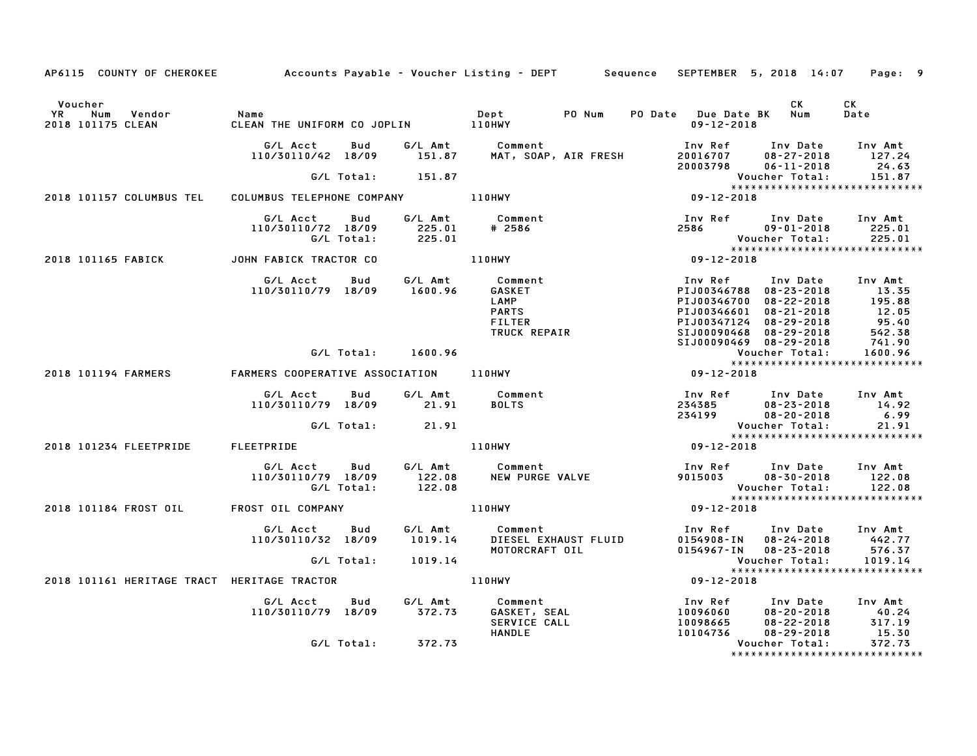| AP6115 COUNTY OF CHEROKEE Accounts Payable - Voucher Listing - DEPT Sequence SEPTEMBER 5, 2018 14:07 Page: 9 |                                                                |                   |                                                                                                         |                                                                                                                                                                                                     |                                            |                                                                 |
|--------------------------------------------------------------------------------------------------------------|----------------------------------------------------------------|-------------------|---------------------------------------------------------------------------------------------------------|-----------------------------------------------------------------------------------------------------------------------------------------------------------------------------------------------------|--------------------------------------------|-----------------------------------------------------------------|
| Voucher<br>YR Num<br>Vendor<br>2018 101175 CLEAN                                                             | Name                                                           |                   | Dept PO Num                                                                                             | PO Date Due Date BK Num<br>$09 - 12 - 2018$                                                                                                                                                         | <b>CK</b>                                  | CK<br>Date                                                      |
|                                                                                                              | G/L Acct Bud G/L Amt Comment                                   |                   | 110/30110/42 18/09 151.87 MAT, SOAP, AIR FRESH                                                          | 100 Ref 100 Date 100 Amt<br>120016707 08-27-2018 127.24<br>20003798 06-11-2018 24.63                                                                                                                |                                            |                                                                 |
|                                                                                                              | G/L Total: 151.87                                              |                   |                                                                                                         |                                                                                                                                                                                                     |                                            | Voucher Total: 151.87<br>****************************           |
| 2018 101157 COLUMBUS TEL                                                                                     | COLUMBUS TELEPHONE COMPANY 110HWY                              |                   |                                                                                                         | $09 - 12 - 2018$                                                                                                                                                                                    |                                            |                                                                 |
|                                                                                                              | G/L Acct Bud<br>110/30110/72 18/09 225.01<br>G/L Total: 225.01 |                   | G/L Amt Comment<br># 2586                                                                               |                                                                                                                                                                                                     |                                            |                                                                 |
| 2018 101165 FABICK                                                                                           | JOHN FABICK TRACTOR CO                                         |                   | 110HWY                                                                                                  |                                                                                                                                                                                                     |                                            | Voucher Total: 225.01<br>********************************       |
|                                                                                                              | G/L Acct Bud<br>110/30110/79 18/09 1600.96                     |                   | G/L Amt Comment<br>Comment<br>GASKET<br>LAMP<br>PARTS<br>FILTER<br>TRUCK REPAIR                         | Inv Ref      Inv Date     Inv Amt<br>PIJ00346788 08-23-2018 13.35<br>PIJ00346700 08-22-2018 195.88<br>PIJ00346601 08-21-2018 12.05<br>PIJ00347124 08-29-2018 95.40<br>SIJ00090468 08-29-2018 542.38 |                                            |                                                                 |
|                                                                                                              | G/L Total: 1600.96                                             |                   |                                                                                                         | SIJ00090469 08-29-2018                                                                                                                                                                              |                                            | 741.90<br>1600.96                                               |
| 2018 101194 FARMERS                                                                                          | FARMERS COOPERATIVE ASSOCIATION 110HWY                         |                   |                                                                                                         | $09 - 12 - 2018$                                                                                                                                                                                    |                                            |                                                                 |
|                                                                                                              | G/L Acct Bud G/L Amt Comment<br>110/30110/79 18/09 21.91       |                   | <b>BOLTS</b>                                                                                            | Inv Ref Inv Date Inv Amt<br>234385<br>234199                                                                                                                                                        | $08 - 23 - 2018$ 14.92<br>$08 - 20 - 2018$ | 6.99                                                            |
|                                                                                                              | G/L Total:                                                     | 21.91             |                                                                                                         |                                                                                                                                                                                                     | Voucher Total:                             | 21.91<br><b>VOUCNer iutai.</b><br>***************************** |
| 2018 101234 FLEETPRIDE FLEETPRIDE                                                                            |                                                                |                   | 110HWY                                                                                                  | $09 - 12 - 2018$                                                                                                                                                                                    |                                            |                                                                 |
|                                                                                                              |                                                                |                   | ou buu G/L Amt Comment<br>110/30110/79 18/09 122.08 NEW PURGE VALVE<br>G/L Total: 122.08                | Inv Ref      Inv Date     Inv Amt<br>9015003        08–30–2018       122.08                                                                                                                         | Voucher Total:                             | 122.08<br>122.08                                                |
| 2018 101184 FROST OIL FROST OIL COMPANY                                                                      |                                                                | <b>110HWY</b>     |                                                                                                         | $09 - 12 - 2018$                                                                                                                                                                                    |                                            | *****************************                                   |
|                                                                                                              |                                                                |                   | G/L Acct  Bud  G/L Amt  Comment<br>110/30110/32 18/09  1019.14  DIESEL EXHAUST  FLUID<br>MOTORCRAFT OIL | Inv Ref      Inv Date     Inv Amt<br>0154908-IN 08-24-2018 442.77<br>0154967-IN 08-23-2018                                                                                                          |                                            | 576.37                                                          |
|                                                                                                              | G/L Total:       1019.14                                       |                   |                                                                                                         |                                                                                                                                                                                                     | Voucher Total:                             | 1019.14                                                         |
| 2018 101161 HERITAGE TRACT HERITAGE TRACTOR                                                                  |                                                                |                   | 110HWY                                                                                                  | $09 - 12 - 2018$                                                                                                                                                                                    |                                            |                                                                 |
|                                                                                                              | G/L Acct Bud G/L Amt<br>$110/30110/79$ $18/09$ $372.73$        |                   | Comment<br>GASKET, SEAL<br>Comment CALL<br><b>HANDLE</b>                                                | Inv Ref Inv Date Inv Amt<br>$10096060$<br>10098665<br>10104736 08-29-2018                                                                                                                           | 08-20-2018 40.24<br>08-22-2018 317.19      | 15.30                                                           |
|                                                                                                              |                                                                | G/L Total: 372.73 |                                                                                                         |                                                                                                                                                                                                     | Voucher Total:                             | 372.73<br>*****************************                         |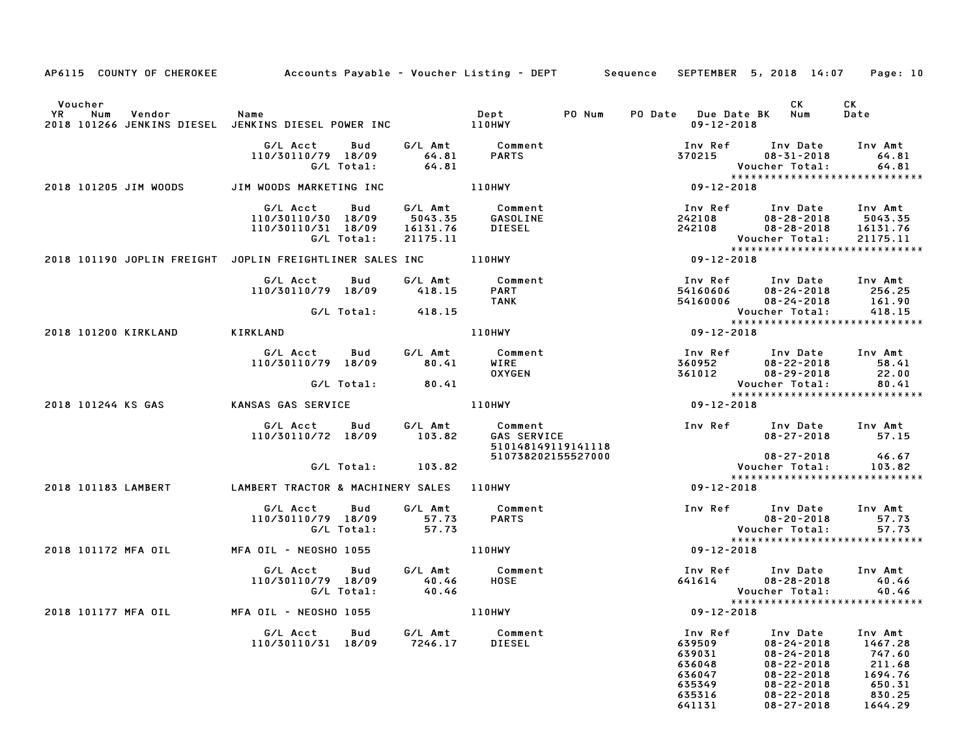| AP6115 COUNTY OF CHEROKEE Accounts Payable - Voucher Listing - DEPT Sequence                                                                                                                                                    |                                                                                                                                                                                                                                                                  |                                                                                                                                   |                                          | SEPTEMBER 5, 2018 14:07                                                          | Page: 10 |
|---------------------------------------------------------------------------------------------------------------------------------------------------------------------------------------------------------------------------------|------------------------------------------------------------------------------------------------------------------------------------------------------------------------------------------------------------------------------------------------------------------|-----------------------------------------------------------------------------------------------------------------------------------|------------------------------------------|----------------------------------------------------------------------------------|----------|
|                                                                                                                                                                                                                                 |                                                                                                                                                                                                                                                                  |                                                                                                                                   |                                          |                                                                                  |          |
| Voucher                                                                                                                                                                                                                         |                                                                                                                                                                                                                                                                  |                                                                                                                                   |                                          | CK <sub>2</sub>                                                                  | CK       |
|                                                                                                                                                                                                                                 |                                                                                                                                                                                                                                                                  | PO Num                                                                                                                            |                                          | PO Date Due Date BK Num                                                          | Date     |
| YR Num Vendor – Name – Name – Dept – Dept<br>2018–101266 JENKINS DIESEL JENKINS DIESEL POWER INC – – 110HWY                                                                                                                     |                                                                                                                                                                                                                                                                  |                                                                                                                                   | $09 - 12 - 2018$                         |                                                                                  |          |
|                                                                                                                                                                                                                                 |                                                                                                                                                                                                                                                                  |                                                                                                                                   |                                          |                                                                                  |          |
|                                                                                                                                                                                                                                 | G/L Acct Bud G/L Amt Comment<br>110/30110/79 18/09 64.81 PARTS<br>G/L Total: 64.81                                                                                                                                                                               |                                                                                                                                   |                                          | Inv Ref Inv Date Inv Amt                                                         |          |
|                                                                                                                                                                                                                                 |                                                                                                                                                                                                                                                                  |                                                                                                                                   | 370215                                   | 08-31-2018                                                                       | 64.81    |
|                                                                                                                                                                                                                                 |                                                                                                                                                                                                                                                                  |                                                                                                                                   |                                          | Voucher Total:                                                                   | 64.81    |
|                                                                                                                                                                                                                                 |                                                                                                                                                                                                                                                                  |                                                                                                                                   | $x + x + x$<br>$x + x + x$<br>09-12-2018 |                                                                                  |          |
| 2018 101205 JIM WOODS JIM WOODS MARKETING INC                                                                                                                                                                                   |                                                                                                                                                                                                                                                                  | $110$ HWY<br>$\angle$ L Amt                                                                                                       |                                          |                                                                                  |          |
|                                                                                                                                                                                                                                 |                                                                                                                                                                                                                                                                  |                                                                                                                                   |                                          |                                                                                  | Inv Amt  |
|                                                                                                                                                                                                                                 |                                                                                                                                                                                                                                                                  |                                                                                                                                   |                                          | $08 - 28 - 2018$ 5043.35                                                         |          |
|                                                                                                                                                                                                                                 |                                                                                                                                                                                                                                                                  |                                                                                                                                   |                                          |                                                                                  | 16131.76 |
|                                                                                                                                                                                                                                 |                                                                                                                                                                                                                                                                  |                                                                                                                                   |                                          |                                                                                  | 21175.11 |
|                                                                                                                                                                                                                                 |                                                                                                                                                                                                                                                                  |                                                                                                                                   |                                          | ******************************                                                   |          |
| G/LAcct Bud G/LAmt Comment<br>110/30110/30 18/09 5043.35 GASOLINE 242108<br>110/30110/31 18/09 16131.76 DIESEL 242108<br>G/LTotal: 21175.11 Vouc<br>2018 101190 JOPLIN FREIGHT JOPLIN FREIGHTLINER SALES INC 110HWY 199-12-2018 |                                                                                                                                                                                                                                                                  |                                                                                                                                   |                                          |                                                                                  |          |
|                                                                                                                                                                                                                                 |                                                                                                                                                                                                                                                                  |                                                                                                                                   |                                          |                                                                                  |          |
|                                                                                                                                                                                                                                 | G/L Acct Bud G/L Amt                                                                                                                                                                                                                                             |                                                                                                                                   |                                          |                                                                                  |          |
|                                                                                                                                                                                                                                 | 110/30110/79 18/09 418.15                                                                                                                                                                                                                                        |                                                                                                                                   |                                          |                                                                                  |          |
|                                                                                                                                                                                                                                 | G/L Total: 418.15                                                                                                                                                                                                                                                |                                                                                                                                   |                                          | 100 Date<br>16.24-2018 256.25<br>161.90 Date 161.90<br>161.90 Pher Total: 418.15 |          |
|                                                                                                                                                                                                                                 |                                                                                                                                                                                                                                                                  |                                                                                                                                   |                                          | ******************************                                                   |          |
| 2018 101200 KIRKLAND                                                                                                                                                                                                            | <b>KIRKLAND</b>                                                                                                                                                                                                                                                  |                                                                                                                                   |                                          |                                                                                  |          |
|                                                                                                                                                                                                                                 |                                                                                                                                                                                                                                                                  |                                                                                                                                   |                                          |                                                                                  |          |
|                                                                                                                                                                                                                                 |                                                                                                                                                                                                                                                                  |                                                                                                                                   |                                          |                                                                                  |          |
|                                                                                                                                                                                                                                 |                                                                                                                                                                                                                                                                  |                                                                                                                                   |                                          |                                                                                  |          |
|                                                                                                                                                                                                                                 |                                                                                                                                                                                                                                                                  |                                                                                                                                   |                                          |                                                                                  |          |
|                                                                                                                                                                                                                                 |                                                                                                                                                                                                                                                                  |                                                                                                                                   |                                          |                                                                                  |          |
| 2018 101244 KS GAS             KANSAS GAS SERVICE                                                                                                                                                                               |                                                                                                                                                                                                                                                                  |                                                                                                                                   |                                          |                                                                                  |          |
|                                                                                                                                                                                                                                 | 410/30110/79 18/09 6/L Amt<br>110/30110/79 18/09 80.41 WIRE<br>41. 80.41 WIRE<br>41. ANSAS GAS SERVICE<br>22.00<br>41 VOUCH 110HWY<br>2361012 08-29-2018<br>22.00<br>41 VOUCH TOtal: 80.41<br>409-12-2018<br>41<br>2361012<br>2361012<br>2361012<br>23.00<br>    |                                                                                                                                   |                                          |                                                                                  |          |
|                                                                                                                                                                                                                                 |                                                                                                                                                                                                                                                                  |                                                                                                                                   |                                          |                                                                                  |          |
|                                                                                                                                                                                                                                 |                                                                                                                                                                                                                                                                  |                                                                                                                                   |                                          |                                                                                  | 57.15    |
|                                                                                                                                                                                                                                 |                                                                                                                                                                                                                                                                  |                                                                                                                                   |                                          |                                                                                  |          |
|                                                                                                                                                                                                                                 |                                                                                                                                                                                                                                                                  |                                                                                                                                   |                                          | $08 - 27 - 2018$                                                                 | 46.67    |
|                                                                                                                                                                                                                                 | G/L Total: 103.82                                                                                                                                                                                                                                                | GAS SERVICE<br>510148149119141118<br>510738202155527000                                                                           |                                          | Voucher Total:                                                                   | 103.82   |
|                                                                                                                                                                                                                                 |                                                                                                                                                                                                                                                                  |                                                                                                                                   |                                          | *****************************                                                    |          |
| 2018 101183 LAMBERT                                                                                                                                                                                                             | LAMBERT TRACTOR & MACHINERY SALES 110HWY                                                                                                                                                                                                                         |                                                                                                                                   | 09-12-2018                               |                                                                                  |          |
|                                                                                                                                                                                                                                 | G/L Acct Bud                                                                                                                                                                                                                                                     |                                                                                                                                   |                                          |                                                                                  |          |
|                                                                                                                                                                                                                                 | 110/30110/79 18/09                                                                                                                                                                                                                                               | G/L Amt Comment<br>57.73 PARTS                                                                                                    |                                          |                                                                                  |          |
|                                                                                                                                                                                                                                 | 10/79 18/09   57.73<br>G/L Total:   57.73                                                                                                                                                                                                                        |                                                                                                                                   |                                          |                                                                                  |          |
|                                                                                                                                                                                                                                 |                                                                                                                                                                                                                                                                  |                                                                                                                                   |                                          |                                                                                  |          |
| 2018 101172 MFA OIL MFA OIL - NEOSHO 1055 110HWY                                                                                                                                                                                |                                                                                                                                                                                                                                                                  |                                                                                                                                   |                                          |                                                                                  |          |
|                                                                                                                                                                                                                                 |                                                                                                                                                                                                                                                                  |                                                                                                                                   |                                          |                                                                                  |          |
|                                                                                                                                                                                                                                 | G/L Acct<br>Bud                                                                                                                                                                                                                                                  |                                                                                                                                   |                                          |                                                                                  |          |
|                                                                                                                                                                                                                                 | 110/30110/79 18/09<br>G/L Total:                                                                                                                                                                                                                                 |                                                                                                                                   |                                          |                                                                                  |          |
|                                                                                                                                                                                                                                 |                                                                                                                                                                                                                                                                  |                                                                                                                                   |                                          |                                                                                  |          |
| 2018 101177 MFA OIL                                                                                                                                                                                                             | MFA OIL - NEOSHO 1055                                                                                                                                                                                                                                            | 6/L Amt Comment Inv Ref Inv Date Inv Amt<br>40.46 HOSE 641614 08-28-2018 40.46<br>40.46 Voucher Total: 40.46<br>110HWY 09-12-2018 |                                          |                                                                                  |          |
|                                                                                                                                                                                                                                 | 4 OIL - NEOSHO 1055<br>G/L Acct Bud G/L Amt Comment<br>110/30110/31 18/09 7246.17 DIESEL<br>239509 08-24-2018 1467.28<br>467.28<br>467.28<br>467.28<br>4694.76<br>494.76<br>494.76<br>494.76<br>494.76<br>494.76<br>494.76<br>494.76<br>494.76<br>494.76<br>494. |                                                                                                                                   |                                          |                                                                                  |          |
|                                                                                                                                                                                                                                 |                                                                                                                                                                                                                                                                  |                                                                                                                                   |                                          |                                                                                  |          |
|                                                                                                                                                                                                                                 |                                                                                                                                                                                                                                                                  |                                                                                                                                   |                                          |                                                                                  |          |
|                                                                                                                                                                                                                                 |                                                                                                                                                                                                                                                                  |                                                                                                                                   |                                          |                                                                                  |          |
|                                                                                                                                                                                                                                 |                                                                                                                                                                                                                                                                  |                                                                                                                                   |                                          |                                                                                  |          |
|                                                                                                                                                                                                                                 |                                                                                                                                                                                                                                                                  |                                                                                                                                   |                                          |                                                                                  |          |
|                                                                                                                                                                                                                                 |                                                                                                                                                                                                                                                                  |                                                                                                                                   |                                          |                                                                                  |          |
|                                                                                                                                                                                                                                 |                                                                                                                                                                                                                                                                  |                                                                                                                                   |                                          |                                                                                  |          |
|                                                                                                                                                                                                                                 |                                                                                                                                                                                                                                                                  |                                                                                                                                   |                                          |                                                                                  |          |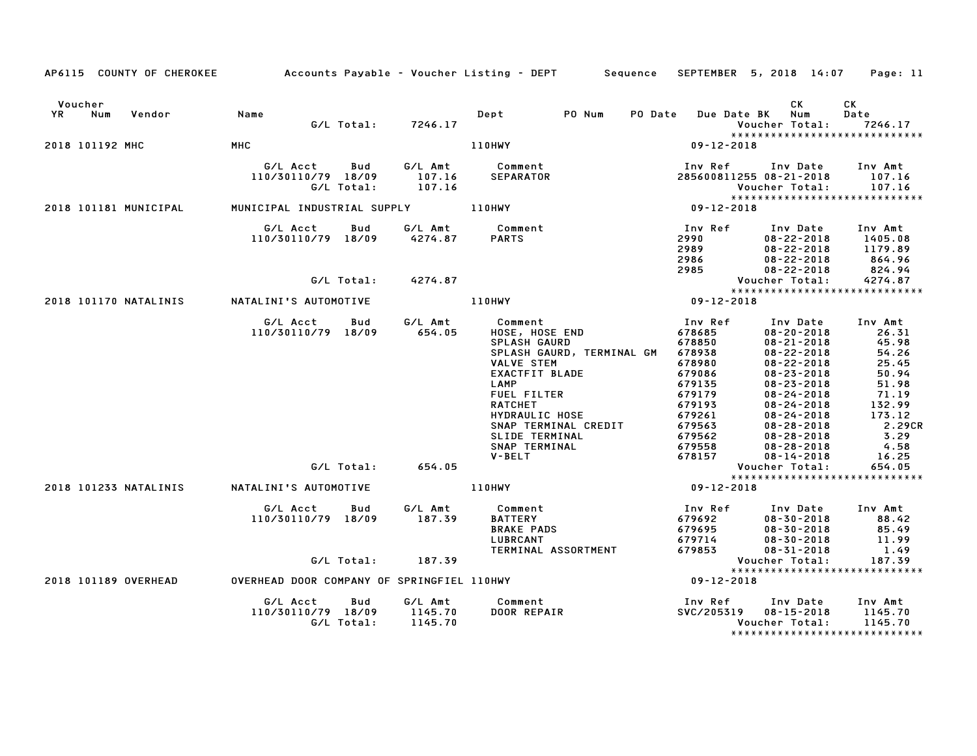|                   |                       |                                                     |                   |                                        | AP6115 COUNTY OF CHEROKEE Accounts Payable - Voucher Listing - DEPT Sequence                                                                                                                                                                                |                                                                                                                                           |                                                                                                                                                                                                                                                                                                | SEPTEMBER 5, 2018 14:07 Page: 11                                                                                                        |
|-------------------|-----------------------|-----------------------------------------------------|-------------------|----------------------------------------|-------------------------------------------------------------------------------------------------------------------------------------------------------------------------------------------------------------------------------------------------------------|-------------------------------------------------------------------------------------------------------------------------------------------|------------------------------------------------------------------------------------------------------------------------------------------------------------------------------------------------------------------------------------------------------------------------------------------------|-----------------------------------------------------------------------------------------------------------------------------------------|
| Voucher<br>YR Num | Vendor                | Name                                                |                   | G/L Total: 7246.17                     | PO Num<br>Dept                                                                                                                                                                                                                                              | PO Date<br><b>Due Date BK</b>                                                                                                             | CK<br>Num<br>Voucher Total:                                                                                                                                                                                                                                                                    | СK<br>Date<br>7246.17                                                                                                                   |
| 2018 101192 MHC   |                       | MHC                                                 |                   |                                        | 110HWY                                                                                                                                                                                                                                                      | $09 - 12 - 2018$                                                                                                                          |                                                                                                                                                                                                                                                                                                | *****************************                                                                                                           |
|                   |                       | G/L Acct Bud<br>110/30110/79 18/09                  | G/L Total:        | 107.16<br>107.16                       | G/L Amt Comment<br>SEPARATOR                                                                                                                                                                                                                                | Inv Ref Inv Date Inv Amt<br>285600811255 08-21-2018 107.16                                                                                | Voucher Total:                                                                                                                                                                                                                                                                                 | 107.16                                                                                                                                  |
|                   | 2018 101181 MUNICIPAL |                                                     |                   |                                        |                                                                                                                                                                                                                                                             | $8****$<br>09-12-2018                                                                                                                     |                                                                                                                                                                                                                                                                                                | *****************************                                                                                                           |
|                   |                       | G/L Acct<br>110/30110/79 18/09                      | Bud               |                                        | G/L Amt Comment<br>4274.87 PARTS                                                                                                                                                                                                                            | Inv Ref<br>2990<br>2989<br>2986<br>2985                                                                                                   | Inv Date<br>$08 - 22 - 2018$<br>$08 - 22 - 2018$<br>$08 - 22 - 2018$<br>$08 - 22 - 2018$                                                                                                                                                                                                       | Inv Amt<br>1405.08<br>1179.89<br>864.96<br>824.94                                                                                       |
|                   |                       |                                                     | G/L Total:        | 4274.87                                |                                                                                                                                                                                                                                                             |                                                                                                                                           | Voucher Total:                                                                                                                                                                                                                                                                                 | 4274.87                                                                                                                                 |
|                   |                       | 2018 101170 NATALINIS         NATALINI'S AUTOMOTIVE |                   |                                        | <b>110HWY</b>                                                                                                                                                                                                                                               | $09 - 12 - 2018$                                                                                                                          |                                                                                                                                                                                                                                                                                                | *****************************                                                                                                           |
|                   |                       | G/L Acct<br>110/30110/79 18/09                      | Bud               | G/L Amt<br>654.05<br>G/L Total: 654.05 | Comment<br>HOSE, HOSE END<br><b>SPLASH GAURD</b><br>SPLASH GAURD, TERMINAL GM<br>VALVE STEM<br>EXACTFIT BLADE<br>LAMP<br><b>FUEL FILTER</b><br><b>RATCHET</b><br>HYDRAULIC HOSE<br>SNAP TERMINAL CREDIT<br>SLIDE TERMINAL<br>SNAP TERMINAL<br><b>V-BELT</b> | Inv Ref<br>678685<br>678850<br>678938<br>678980<br>679086<br>679135<br>679179<br>679193<br>679261<br>679563<br>679562<br>679558<br>678157 | Inv Date<br>$08 - 20 - 2018$<br>$08 - 21 - 2018$<br>$08 - 22 - 2018$<br>$08 - 22 - 2018$<br>$08 - 23 - 2018$<br>$08 - 23 - 2018$<br>$08 - 24 - 2018$<br>$08 - 24 - 2018$<br>$08 - 24 - 2018$<br>$08 - 28 - 2018$<br>$08 - 28 - 2018$<br>$08 - 28 - 2018$<br>$08 - 14 - 2018$<br>Voucher Total: | Inv Amt<br>26.31<br>45.98<br>54.26<br>25.45<br>50.94<br>51.98<br>71.19<br>132.99<br>173.12<br>2.29CR<br>3.29<br>4.58<br>16.25<br>654.05 |
|                   |                       | 2018 101233 NATALINIS NATALINI'S AUTOMOTIVE         |                   |                                        | 110HWY                                                                                                                                                                                                                                                      | $09 - 12 - 2018$                                                                                                                          |                                                                                                                                                                                                                                                                                                | *****************************                                                                                                           |
|                   |                       | G/L Acct<br>110/30110/79 18/09                      | Bud               | G/L Amt<br>187.39                      | Comment<br><b>BATTERY</b><br><b>BRAKE PADS</b><br>LUBRCANT<br>TERMINAL ASSORTMENT                                                                                                                                                                           | Inv Ref                                                                                                                                   | Inv Date<br>$08 - 30 - 2018$<br>$08 - 30 - 2018$<br>$08 - 30 - 2018$<br>$08 - 31 - 2018$                                                                                                                                                                                                       | Inv Amt<br>88.42<br>85.49<br>11.99<br>1.49                                                                                              |
|                   |                       |                                                     |                   | G/L Total: 187.39                      |                                                                                                                                                                                                                                                             |                                                                                                                                           | Voucher Total:                                                                                                                                                                                                                                                                                 | 187.39                                                                                                                                  |
|                   | 2018 101189 OVERHEAD  | OVERHEAD DOOR COMPANY OF SPRINGFIEL 110HWY          |                   |                                        |                                                                                                                                                                                                                                                             | $09 - 12 - 2018$                                                                                                                          |                                                                                                                                                                                                                                                                                                | *****************************                                                                                                           |
|                   |                       | G/L Acct<br>110/30110/79 18/09                      | Bud<br>G/L Total: | G/L Amt<br>1145.70<br>1145.70          | Comment<br>DOOR REPAIR                                                                                                                                                                                                                                      | Inv Ref<br>SVC/205319 08-15-2018                                                                                                          | Inv Date<br>Voucher Total:                                                                                                                                                                                                                                                                     | Inv Amt<br>1145.70<br>1145.70<br>*****************************                                                                          |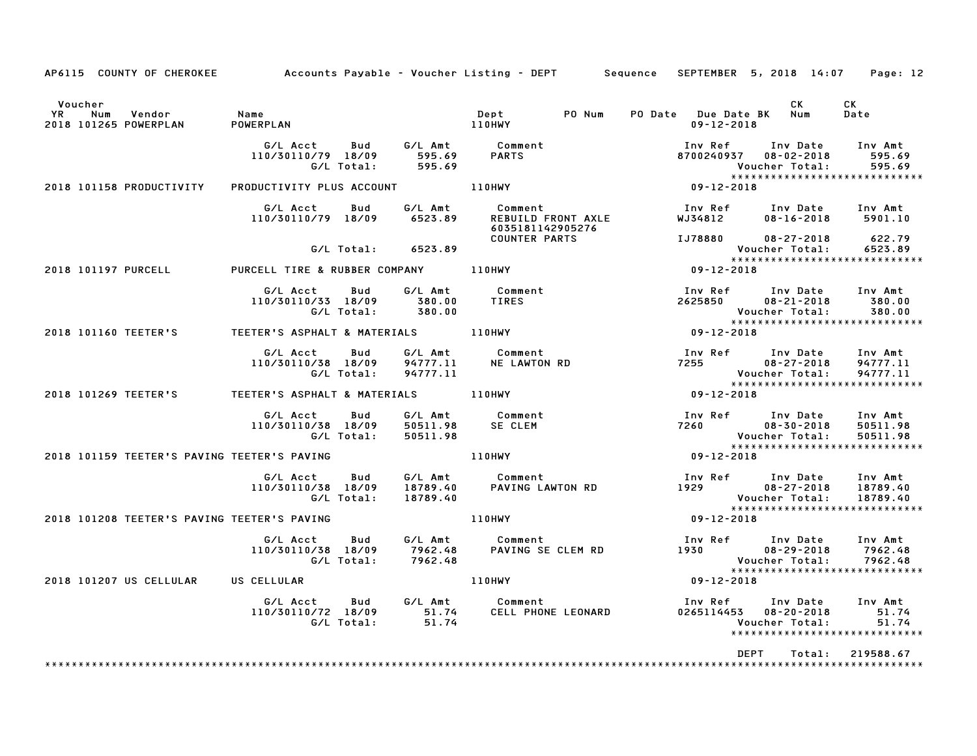| AP6115 COUNTY OF CHEROKEE                                      | Accounts Payable – Voucher Listing – DEPT         Sequence   SEPTEMBER  5, 2018  14:07 |                   |                                    |                                                |        |                       |                                                                | Page: 12                                                         |
|----------------------------------------------------------------|----------------------------------------------------------------------------------------|-------------------|------------------------------------|------------------------------------------------|--------|-----------------------|----------------------------------------------------------------|------------------------------------------------------------------|
| Voucher<br>Vendor<br><b>YR</b><br>Num<br>2018 101265 POWERPLAN | Name<br>POWERPLAN                                                                      |                   |                                    | Dept<br><b>110HWY</b>                          | PO Num | $09 - 12 - 2018$      | CK<br>PO Date Due Date BK Num                                  | CK<br>Date                                                       |
|                                                                | G/L Acct<br>110/30110/79 18/09                                                         | Bud<br>G/L Total: | G/L Amt<br>595.69<br>595.69        | <b>Comment</b><br>PARTS                        |        | Inv Ref<br>8700240937 | Inv Date<br>$08 - 02 - 2018$<br>Voucher Total:                 | Inv Amt<br>595.69<br>595.69<br>*****************************     |
| 2018 101158 PRODUCTIVITY                                       | PRODUCTIVITY PLUS ACCOUNT                                                              |                   |                                    | 110HWY                                         |        | $*****$               |                                                                |                                                                  |
|                                                                | G/L Acct<br>110/30110/79 18/09                                                         | Bud               | G/L Amt<br>6523.89                 | Comment<br>6035181142905276                    |        |                       | Inv Ref      Inv Date<br>REBUILD FRONT AXLE WJ34812 08-16-2018 | Inv Amt<br>5901.10                                               |
|                                                                |                                                                                        | G/L Total:        | 6523.89                            | <b>COUNTER PARTS</b>                           |        |                       | IJ78880 08-27-2018<br>Voucher Total:                           | 622.79<br>6523.89<br>******************************              |
| 2018 101197 PURCELL                                            | PURCELL TIRE & RUBBER COMPANY                                                          |                   |                                    | 110HWY                                         |        | $09 - 12 - 2018$      |                                                                |                                                                  |
|                                                                | G/L Acct<br>110/30110/33 18/09                                                         | Bud<br>G/L Total: | G/L Amt<br>380.00<br>380.00        | Comment<br><b>TIRES</b>                        |        | Inv Ref<br>2625850    | Inv Date<br>$08 - 21 - 2018$<br>Voucher Total:                 | Inv Amt<br>380.00<br>380.00<br>******************************    |
| 2018 101160 TEETER'S                                           | TEETER'S ASPHALT & MATERIALS                                                           |                   |                                    | 110HWY                                         |        | $*****$<br>09-12-2018 |                                                                |                                                                  |
|                                                                | G/L Acct<br>110/30110/38 18/09                                                         | Bud<br>G/L Total: | G/L Amt<br>94777.11<br>94777.11    | Comment<br><b>NE LAWTON RD</b>                 |        | 7255 720              | Inv Ref      Inv Date<br>$08 - 27 - 2018$<br>Voucher Total:    | Inv Amt<br>94777.11<br>94777.11<br>***************************** |
| 2018 101269 TEETER'S                                           | TEETER'S ASPHALT & MATERIALS                                                           |                   |                                    | 110HWY                                         |        | $09 - 12 - 2018$      |                                                                |                                                                  |
|                                                                | G/L Acct<br>110/30110/38 18/09                                                         | Bud<br>G/L Total: | G/L Amt<br>50511.98<br>50511.98    | Comment<br>SE CLEM                             |        | 7260                  | Inv Ref      Inv Date<br>$08 - 30 - 2018$<br>Voucher Total:    | Inv Amt<br>50511.98<br>50511.98<br>***************************** |
| 2018 101159 TEETER'S PAVING TEETER'S PAVING                    |                                                                                        |                   |                                    | 110HWY                                         |        | $09 - 12 - 2018$      |                                                                |                                                                  |
|                                                                | G/L Acct<br>110/30110/38 18/09                                                         | Bud<br>G/L Total: | 18789.40<br>18789.40               | G/L Amt Comment<br>Comment<br>PAVING LAWTON RD |        |                       | Inv Ref Inv Date<br>1929 08-27-2018<br>Voucher Total:          | Inv Amt<br>18789.40<br>18789.40<br>***************************** |
| 2018 101208 TEETER'S PAVING TEETER'S PAVING                    |                                                                                        |                   |                                    | <b>110HWY</b>                                  |        | $09 - 12 - 2018$      |                                                                |                                                                  |
|                                                                | G/L Acct<br>110/30110/38 18/09                                                         | Bud<br>G/L Total: | G/L Amt<br>7962.48<br>7962.48      | Comment<br>PAVING SE CLEM RD                   |        |                       |                                                                | 7962.48<br>7962.48<br>*****************************              |
| 2018 101207 US CELLULAR                                        | US CELLULAR                                                                            |                   |                                    | 110HWY                                         |        |                       | Voucher Total:<br>****************<br>09-12-2018               |                                                                  |
|                                                                | G/L Acct<br>110/30110/72 18/09                                                         | Bud<br>G/L Total: | G/L Amt<br>51.74<br>51.74<br>51.74 | Comment<br>Comment<br>CELL PHONE LEONARD       |        | Inv Ref               | Inv Date<br>0265114453  08-20-2018<br>Voucher Total:           | Inv Amt<br>51.74<br>51.74<br>******************************      |
|                                                                |                                                                                        |                   |                                    |                                                |        |                       | <b>DEPT</b><br>Total:                                          | 219588.67                                                        |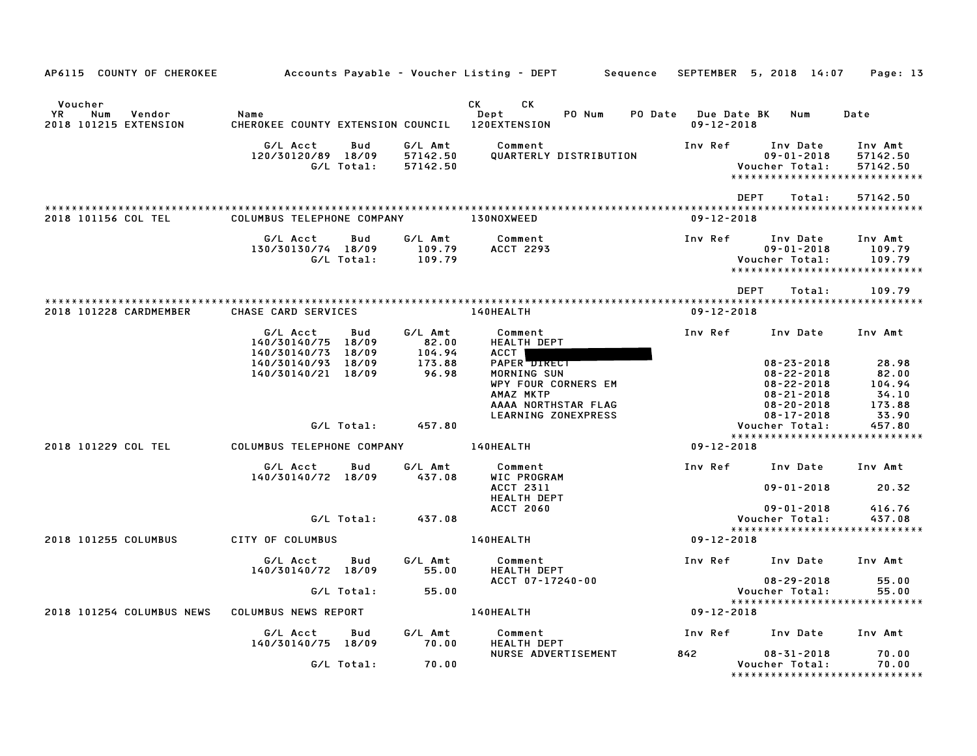| AP6115 COUNTY OF CHEROKEE                               |                                                                                                         |                                               | Accounts Payable – Voucher Listing – DEPT         Sequence                                                                        | SEPTEMBER 5, 2018 14:07                                                                                                 | Page: 13                                                         |
|---------------------------------------------------------|---------------------------------------------------------------------------------------------------------|-----------------------------------------------|-----------------------------------------------------------------------------------------------------------------------------------|-------------------------------------------------------------------------------------------------------------------------|------------------------------------------------------------------|
| Voucher<br>YR<br>Num<br>Vendor<br>2018 101215 EXTENSION | Name<br>CHEROKEE COUNTY EXTENSION COUNCIL                                                               |                                               | CK .<br>СK<br>Dept<br>PO Num<br><b>120EXTENSION</b>                                                                               | PO Date Due Date BK<br>Num<br>$09 - 12 - 2018$                                                                          | Date                                                             |
|                                                         | G/L Acct<br>Bud<br>120/30120/89 18/09<br>G/L Total:                                                     | G/L Amt<br>57142.50<br>57142.50               | Comment<br>QUARTERLY DISTRIBUTION                                                                                                 | Inv Ref<br>Inv Date<br>$09 - 01 - 2018$<br>Voucher Total:                                                               | Inv Amt<br>57142.50<br>57142.50<br>***************************** |
| 2018 101156 COL TEL                                     | COLUMBUS TELEPHONE COMPANY                                                                              |                                               | <b>130NOXWEED</b>                                                                                                                 | <b>DEPT</b><br>Total:<br>$09 - 12 - 2018$                                                                               | 57142.50                                                         |
|                                                         | G/L Acct<br>Bud<br>130/30130/74 18/09<br>G/L Total:                                                     | G/L Amt<br>109.79<br>109.79                   | Comment<br><b>ACCT 2293</b>                                                                                                       | Inv Ref<br>Inv Date<br>$09 - 01 - 2018$<br>Voucher Total:                                                               | Inv Amt<br>109.79<br>109.79<br>*****************************     |
| 2018 101228 CARDMEMBER                                  | CHASE CARD SERVICES                                                                                     |                                               | 140HEALTH                                                                                                                         | <b>DEPT</b><br>Total:<br>$09 - 12 - 2018$                                                                               | 109.79<br>*********************                                  |
|                                                         | G/L Acct<br>Bud<br>140/30140/75 18/09<br>140/30140/73 18/09<br>140/30140/93 18/09<br>140/30140/21 18/09 | G/L Amt<br>82.00<br>104.94<br>173.88<br>96.98 | Comment<br><b>HEALTH DEPT</b><br>ACCT  <br>PAPER DIRECT<br>MORNING SUN<br>WPY FOUR CORNERS EM<br>AMAZ MKTP<br>AAAA NORTHSTAR FLAG | Inv Ref<br>Inv Date<br>$08 - 23 - 2018$<br>$08 - 22 - 2018$<br>$08 - 22 - 2018$<br>$08 - 21 - 2018$<br>$08 - 20 - 2018$ | Inv Amt<br>28.98<br>82.00<br>104.94<br>34.10<br>173.88           |
|                                                         | G/L Total:                                                                                              | 457.80                                        | LEARNING ZONEXPRESS                                                                                                               | $08 - 17 - 2018$<br>Voucher Total:                                                                                      | 33.90<br>457.80<br>*****************************                 |
| 2018 101229 COL TEL                                     | COLUMBUS TELEPHONE COMPANY                                                                              |                                               | 140HEALTH                                                                                                                         | $09 - 12 - 2018$                                                                                                        |                                                                  |
|                                                         | G/L Acct<br>Bud<br>140/30140/72 18/09                                                                   | G/L Amt<br>437.08                             | Comment<br>WIC PROGRAM<br><b>ACCT 2311</b>                                                                                        | Inv Ref<br>Inv Date<br>$09 - 01 - 2018$                                                                                 | Inv Amt<br>20.32                                                 |
|                                                         | G/L Total:                                                                                              | 437.08                                        | <b>HEALTH DEPT</b><br><b>ACCT 2060</b>                                                                                            | $09 - 01 - 2018$<br>Voucher Total:                                                                                      | 416.76<br>437.08<br>*****************************                |
| 2018 101255 COLUMBUS                                    | CITY OF COLUMBUS                                                                                        |                                               | 140HEALTH                                                                                                                         | $09 - 12 - 2018$                                                                                                        |                                                                  |
|                                                         | Bud<br>G/L Acct<br>140/30140/72 18/09                                                                   | G/L Amt<br>55.00                              | Comment<br><b>HEALTH DEPT</b>                                                                                                     | Inv Ref<br>Inv Date                                                                                                     | Inv Amt                                                          |
|                                                         | G/L Total:                                                                                              | 55.00                                         | ACCT 07-17240-00                                                                                                                  | $08 - 29 - 2018$<br>Voucher Total:                                                                                      | 55.00<br>55.00                                                   |
| 2018 101254 COLUMBUS NEWS                               | COLUMBUS NEWS REPORT                                                                                    |                                               | 140HEALTH                                                                                                                         | $09 - 12 - 2018$                                                                                                        | *****************************                                    |
|                                                         | G/L Acct<br>Bud<br>140/30140/75 18/09                                                                   | G/L Amt<br>70.00                              | Comment<br><b>HEALTH DEPT</b>                                                                                                     | Inv Ref<br>Inv Date                                                                                                     | Inv Amt                                                          |
|                                                         | G/L Total:                                                                                              | 70.00                                         | NURSE ADVERTISEMENT                                                                                                               | 842<br>$08 - 31 - 2018$<br>Voucher Total:                                                                               | 70.00<br>70.00<br>*******************************                |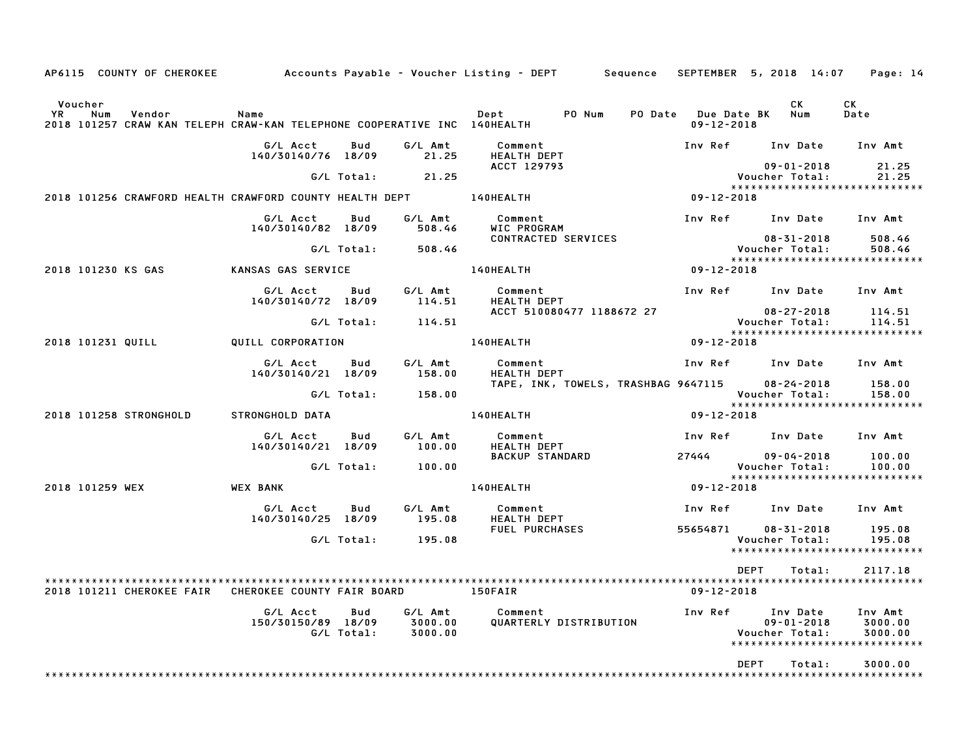| CK<br>Voucher<br>CK<br><b>YR</b><br>PO Num<br>Date<br>Num<br>Vendor<br>Name<br>Dept<br>PO Date Due Date BK<br>Num<br>2018 101257 CRAW KAN TELEPH CRAW-KAN TELEPHONE COOPERATIVE INC 140HEALTH<br>$09 - 12 - 2018$<br>G/L Amt<br>G/L Acct<br>Bud<br>Comment<br>Inv Ref Inv Date<br>Inv Amt<br>21.25<br>140/30140/76 18/09<br><b>HEALTH DEPT</b><br>21.25<br>ACCT 129793<br>$09 - 01 - 2018$<br>21.25<br>G/L Total:<br>Voucher Total:<br>21.25<br>*****************************<br>2018 101256 CRAWFORD HEALTH CRAWFORD COUNTY HEALTH DEPT<br><b>140HEALTH</b><br>$09 - 12 - 2018$<br>G/L Acct<br>G/L Amt<br>Comment<br>Inv Ref Inv Date Inv Amt<br>Bud<br>WIC PROGRAM<br>140/30140/82 18/09<br>508.46<br>CONTRACTED SERVICES<br>$08 - 31 - 2018$<br>508.46<br>G/L Total:<br>508.46<br>508.46<br>Voucher Total:<br>*****************************<br>140HEALTH<br>2018 101230 KS GAS<br>KANSAS GAS SERVICE<br>09-12-2018<br>G/L Amt<br>G/L Acct<br>Inv Ref Inv Date Inv Amt<br>Bud<br>Comment<br><b>HEALTH DEPT</b><br>140/30140/72 18/09<br>114.51<br>ACCT 510080477 1188672 27<br>$08 - 27 - 2018$<br>114.51<br>Voucher Total:<br>G/L Total:<br>114.51<br>114.51<br>*****************************<br>140HEALTH<br>09-12-2018<br>2018 101231 QUILL<br>QUILL CORPORATION<br>G/L Acct<br>G/L Amt<br>Inv Ref<br>Bud<br>Comment<br>Inv Date<br>Inv Amt<br>140/30140/21 18/09<br>158.00<br>HEALTH DEPT<br>TAPE, INK, TOWELS, TRASHBAG 9647115<br>$08 - 24 - 2018$<br>158.00<br>G/L Total:<br>158.00<br>Voucher Total:<br>158.00<br>*****************************<br>140HEALTH<br>09-12-2018<br>2018 101258 STRONGHOLD<br>STRONGHOLD DATA<br>G/L Acct<br>G/L Amt<br>Inv Ref Inv Date<br>Bud<br>Comment<br>Inv Amt<br>100.00<br>HEALTH DEPT<br>140/30140/21 18/09<br><b>BACKUP STANDARD</b><br>27444<br>$09 - 04 - 2018$<br>100.00<br>G/L Total:<br>100.00<br>Voucher Total:<br>100.00<br>*****************************<br>2018 101259 WEX<br><b>WEX BANK</b><br>140HEALTH<br>09-12-2018<br>G/L Acct<br>Bud<br>G/L Amt<br>Comment<br>Inv Ref Inv Date Inv Amt<br>140/30140/25 18/09<br>195.08<br>HEALTH DEPT<br>55654871<br>FUEL PURCHASES<br>$08 - 31 - 2018$<br>195.08<br>G/L Total:<br>195.08<br>Voucher Total:<br>195.08<br>*****************************<br>DEPT<br>2117.18<br>Total:<br>CHEROKEE COUNTY FAIR BOARD<br>2018 101211 CHEROKEE FAIR<br>150FAIR<br>$09 - 12 - 2018$<br>G/L Amt<br>G/L Acct<br>Bud<br>Comment<br>Inv Ref<br>Inv Amt<br>Inv Date<br>150/30150/89 18/09<br>QUARTERLY DISTRIBUTION<br>3000.00<br>$09 - 01 - 2018$<br>3000.00<br>G/L Total:<br>3000.00<br>Voucher Total:<br>3000.00<br>*****************************<br>DEPT<br>3000.00<br>Total: | AP6115 COUNTY OF CHEROKEE |  | Accounts Payable – Voucher Listing – DEPT         Sequence | SEPTEMBER 5, 2018 14:07 | Page: 14 |
|----------------------------------------------------------------------------------------------------------------------------------------------------------------------------------------------------------------------------------------------------------------------------------------------------------------------------------------------------------------------------------------------------------------------------------------------------------------------------------------------------------------------------------------------------------------------------------------------------------------------------------------------------------------------------------------------------------------------------------------------------------------------------------------------------------------------------------------------------------------------------------------------------------------------------------------------------------------------------------------------------------------------------------------------------------------------------------------------------------------------------------------------------------------------------------------------------------------------------------------------------------------------------------------------------------------------------------------------------------------------------------------------------------------------------------------------------------------------------------------------------------------------------------------------------------------------------------------------------------------------------------------------------------------------------------------------------------------------------------------------------------------------------------------------------------------------------------------------------------------------------------------------------------------------------------------------------------------------------------------------------------------------------------------------------------------------------------------------------------------------------------------------------------------------------------------------------------------------------------------------------------------------------------------------------------------------------------------------------------------------------------------------------------------------------------------------------------------------------------------------------------------------------------------------------------------------------------------------------------------------------------------------------------------------|---------------------------|--|------------------------------------------------------------|-------------------------|----------|
|                                                                                                                                                                                                                                                                                                                                                                                                                                                                                                                                                                                                                                                                                                                                                                                                                                                                                                                                                                                                                                                                                                                                                                                                                                                                                                                                                                                                                                                                                                                                                                                                                                                                                                                                                                                                                                                                                                                                                                                                                                                                                                                                                                                                                                                                                                                                                                                                                                                                                                                                                                                                                                                                      |                           |  |                                                            |                         |          |
|                                                                                                                                                                                                                                                                                                                                                                                                                                                                                                                                                                                                                                                                                                                                                                                                                                                                                                                                                                                                                                                                                                                                                                                                                                                                                                                                                                                                                                                                                                                                                                                                                                                                                                                                                                                                                                                                                                                                                                                                                                                                                                                                                                                                                                                                                                                                                                                                                                                                                                                                                                                                                                                                      |                           |  |                                                            |                         |          |
|                                                                                                                                                                                                                                                                                                                                                                                                                                                                                                                                                                                                                                                                                                                                                                                                                                                                                                                                                                                                                                                                                                                                                                                                                                                                                                                                                                                                                                                                                                                                                                                                                                                                                                                                                                                                                                                                                                                                                                                                                                                                                                                                                                                                                                                                                                                                                                                                                                                                                                                                                                                                                                                                      |                           |  |                                                            |                         |          |
|                                                                                                                                                                                                                                                                                                                                                                                                                                                                                                                                                                                                                                                                                                                                                                                                                                                                                                                                                                                                                                                                                                                                                                                                                                                                                                                                                                                                                                                                                                                                                                                                                                                                                                                                                                                                                                                                                                                                                                                                                                                                                                                                                                                                                                                                                                                                                                                                                                                                                                                                                                                                                                                                      |                           |  |                                                            |                         |          |
|                                                                                                                                                                                                                                                                                                                                                                                                                                                                                                                                                                                                                                                                                                                                                                                                                                                                                                                                                                                                                                                                                                                                                                                                                                                                                                                                                                                                                                                                                                                                                                                                                                                                                                                                                                                                                                                                                                                                                                                                                                                                                                                                                                                                                                                                                                                                                                                                                                                                                                                                                                                                                                                                      |                           |  |                                                            |                         |          |
|                                                                                                                                                                                                                                                                                                                                                                                                                                                                                                                                                                                                                                                                                                                                                                                                                                                                                                                                                                                                                                                                                                                                                                                                                                                                                                                                                                                                                                                                                                                                                                                                                                                                                                                                                                                                                                                                                                                                                                                                                                                                                                                                                                                                                                                                                                                                                                                                                                                                                                                                                                                                                                                                      |                           |  |                                                            |                         |          |
|                                                                                                                                                                                                                                                                                                                                                                                                                                                                                                                                                                                                                                                                                                                                                                                                                                                                                                                                                                                                                                                                                                                                                                                                                                                                                                                                                                                                                                                                                                                                                                                                                                                                                                                                                                                                                                                                                                                                                                                                                                                                                                                                                                                                                                                                                                                                                                                                                                                                                                                                                                                                                                                                      |                           |  |                                                            |                         |          |
|                                                                                                                                                                                                                                                                                                                                                                                                                                                                                                                                                                                                                                                                                                                                                                                                                                                                                                                                                                                                                                                                                                                                                                                                                                                                                                                                                                                                                                                                                                                                                                                                                                                                                                                                                                                                                                                                                                                                                                                                                                                                                                                                                                                                                                                                                                                                                                                                                                                                                                                                                                                                                                                                      |                           |  |                                                            |                         |          |
|                                                                                                                                                                                                                                                                                                                                                                                                                                                                                                                                                                                                                                                                                                                                                                                                                                                                                                                                                                                                                                                                                                                                                                                                                                                                                                                                                                                                                                                                                                                                                                                                                                                                                                                                                                                                                                                                                                                                                                                                                                                                                                                                                                                                                                                                                                                                                                                                                                                                                                                                                                                                                                                                      |                           |  |                                                            |                         |          |
|                                                                                                                                                                                                                                                                                                                                                                                                                                                                                                                                                                                                                                                                                                                                                                                                                                                                                                                                                                                                                                                                                                                                                                                                                                                                                                                                                                                                                                                                                                                                                                                                                                                                                                                                                                                                                                                                                                                                                                                                                                                                                                                                                                                                                                                                                                                                                                                                                                                                                                                                                                                                                                                                      |                           |  |                                                            |                         |          |
|                                                                                                                                                                                                                                                                                                                                                                                                                                                                                                                                                                                                                                                                                                                                                                                                                                                                                                                                                                                                                                                                                                                                                                                                                                                                                                                                                                                                                                                                                                                                                                                                                                                                                                                                                                                                                                                                                                                                                                                                                                                                                                                                                                                                                                                                                                                                                                                                                                                                                                                                                                                                                                                                      |                           |  |                                                            |                         |          |
|                                                                                                                                                                                                                                                                                                                                                                                                                                                                                                                                                                                                                                                                                                                                                                                                                                                                                                                                                                                                                                                                                                                                                                                                                                                                                                                                                                                                                                                                                                                                                                                                                                                                                                                                                                                                                                                                                                                                                                                                                                                                                                                                                                                                                                                                                                                                                                                                                                                                                                                                                                                                                                                                      |                           |  |                                                            |                         |          |
|                                                                                                                                                                                                                                                                                                                                                                                                                                                                                                                                                                                                                                                                                                                                                                                                                                                                                                                                                                                                                                                                                                                                                                                                                                                                                                                                                                                                                                                                                                                                                                                                                                                                                                                                                                                                                                                                                                                                                                                                                                                                                                                                                                                                                                                                                                                                                                                                                                                                                                                                                                                                                                                                      |                           |  |                                                            |                         |          |
|                                                                                                                                                                                                                                                                                                                                                                                                                                                                                                                                                                                                                                                                                                                                                                                                                                                                                                                                                                                                                                                                                                                                                                                                                                                                                                                                                                                                                                                                                                                                                                                                                                                                                                                                                                                                                                                                                                                                                                                                                                                                                                                                                                                                                                                                                                                                                                                                                                                                                                                                                                                                                                                                      |                           |  |                                                            |                         |          |
|                                                                                                                                                                                                                                                                                                                                                                                                                                                                                                                                                                                                                                                                                                                                                                                                                                                                                                                                                                                                                                                                                                                                                                                                                                                                                                                                                                                                                                                                                                                                                                                                                                                                                                                                                                                                                                                                                                                                                                                                                                                                                                                                                                                                                                                                                                                                                                                                                                                                                                                                                                                                                                                                      |                           |  |                                                            |                         |          |
|                                                                                                                                                                                                                                                                                                                                                                                                                                                                                                                                                                                                                                                                                                                                                                                                                                                                                                                                                                                                                                                                                                                                                                                                                                                                                                                                                                                                                                                                                                                                                                                                                                                                                                                                                                                                                                                                                                                                                                                                                                                                                                                                                                                                                                                                                                                                                                                                                                                                                                                                                                                                                                                                      |                           |  |                                                            |                         |          |
|                                                                                                                                                                                                                                                                                                                                                                                                                                                                                                                                                                                                                                                                                                                                                                                                                                                                                                                                                                                                                                                                                                                                                                                                                                                                                                                                                                                                                                                                                                                                                                                                                                                                                                                                                                                                                                                                                                                                                                                                                                                                                                                                                                                                                                                                                                                                                                                                                                                                                                                                                                                                                                                                      |                           |  |                                                            |                         |          |
|                                                                                                                                                                                                                                                                                                                                                                                                                                                                                                                                                                                                                                                                                                                                                                                                                                                                                                                                                                                                                                                                                                                                                                                                                                                                                                                                                                                                                                                                                                                                                                                                                                                                                                                                                                                                                                                                                                                                                                                                                                                                                                                                                                                                                                                                                                                                                                                                                                                                                                                                                                                                                                                                      |                           |  |                                                            |                         |          |
|                                                                                                                                                                                                                                                                                                                                                                                                                                                                                                                                                                                                                                                                                                                                                                                                                                                                                                                                                                                                                                                                                                                                                                                                                                                                                                                                                                                                                                                                                                                                                                                                                                                                                                                                                                                                                                                                                                                                                                                                                                                                                                                                                                                                                                                                                                                                                                                                                                                                                                                                                                                                                                                                      |                           |  |                                                            |                         |          |
|                                                                                                                                                                                                                                                                                                                                                                                                                                                                                                                                                                                                                                                                                                                                                                                                                                                                                                                                                                                                                                                                                                                                                                                                                                                                                                                                                                                                                                                                                                                                                                                                                                                                                                                                                                                                                                                                                                                                                                                                                                                                                                                                                                                                                                                                                                                                                                                                                                                                                                                                                                                                                                                                      |                           |  |                                                            |                         |          |
|                                                                                                                                                                                                                                                                                                                                                                                                                                                                                                                                                                                                                                                                                                                                                                                                                                                                                                                                                                                                                                                                                                                                                                                                                                                                                                                                                                                                                                                                                                                                                                                                                                                                                                                                                                                                                                                                                                                                                                                                                                                                                                                                                                                                                                                                                                                                                                                                                                                                                                                                                                                                                                                                      |                           |  |                                                            |                         |          |
|                                                                                                                                                                                                                                                                                                                                                                                                                                                                                                                                                                                                                                                                                                                                                                                                                                                                                                                                                                                                                                                                                                                                                                                                                                                                                                                                                                                                                                                                                                                                                                                                                                                                                                                                                                                                                                                                                                                                                                                                                                                                                                                                                                                                                                                                                                                                                                                                                                                                                                                                                                                                                                                                      |                           |  |                                                            |                         |          |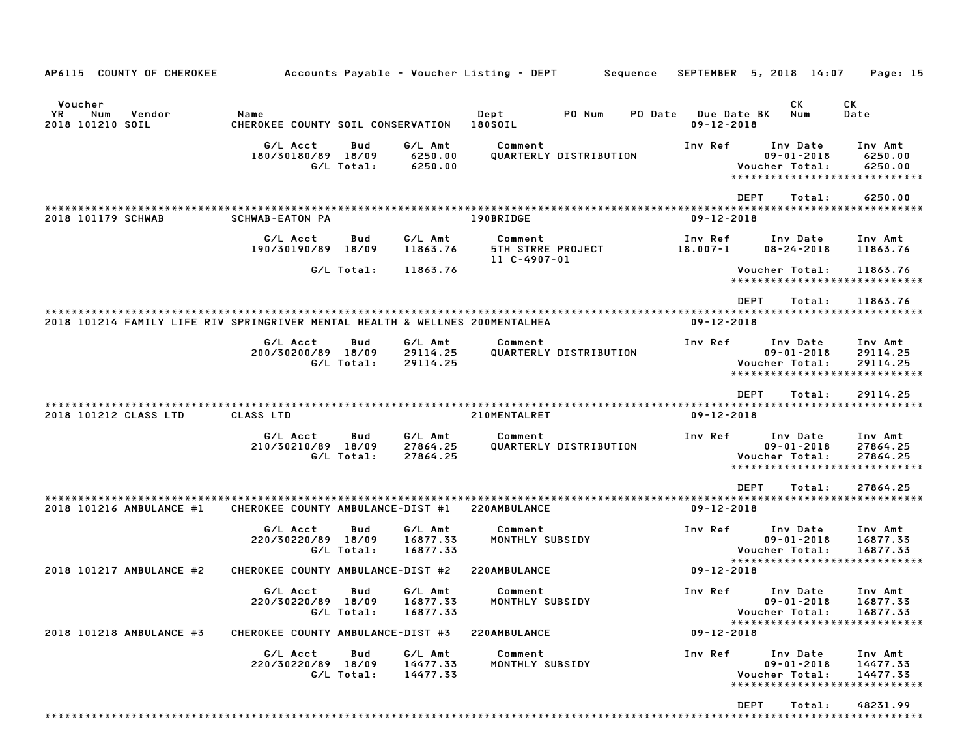| AP6115 COUNTY OF CHEROKEE                                                    |                                           |                   |                                 | Accounts Payable - Voucher Listing - DEPT           |                        | Sequence |                         |             | SEPTEMBER 5, 2018 14:07                        | Page: 15                                                        |
|------------------------------------------------------------------------------|-------------------------------------------|-------------------|---------------------------------|-----------------------------------------------------|------------------------|----------|-------------------------|-------------|------------------------------------------------|-----------------------------------------------------------------|
| Voucher                                                                      |                                           |                   |                                 |                                                     |                        |          |                         |             | СK                                             | СK                                                              |
| YR.<br>Num<br>Vendor<br>2018 101210 SOIL                                     | Name<br>CHEROKEE COUNTY SOIL CONSERVATION |                   |                                 | Dept<br>180SOIL                                     | PO Num                 | PO Date  | $09 - 12 - 2018$        | Due Date BK | Num                                            | Date                                                            |
|                                                                              | G/L Acct<br>180/30180/89 18/09            | Bud<br>G/L Total: | G/L Amt<br>6250.00<br>6250.00   | Comment                                             | QUARTERLY DISTRIBUTION |          | Inv Ref                 |             | Inv Date<br>$09 - 01 - 2018$<br>Voucher Total: | Inv Amt<br>6250.00<br>6250.00<br>****************************** |
| 2018 101179 SCHWAB                                                           | <b>SCHWAB-EATON PA</b>                    |                   |                                 | 190BRIDGE                                           |                        |          | $09 - 12 - 2018$        | <b>DEPT</b> | Total:                                         | 6250.00                                                         |
|                                                                              |                                           |                   |                                 |                                                     |                        |          |                         |             |                                                |                                                                 |
|                                                                              | G/L Acct<br>190/30190/89                  | Bud<br>18/09      | G/L Amt<br>11863.76             | Comment<br><b>5TH STRRE PROJECT</b><br>11 C-4907-01 |                        |          | Inv Ref<br>$18.007 - 1$ |             | Inv Date<br>$08 - 24 - 2018$                   | Inv Amt<br>11863.76                                             |
|                                                                              |                                           | G/L Total:        | 11863.76                        |                                                     |                        |          |                         |             | Voucher Total:                                 | 11863.76<br>*****************************                       |
|                                                                              |                                           |                   |                                 |                                                     |                        |          |                         | <b>DEPT</b> | Total:                                         | 11863.76                                                        |
| 2018 101214 FAMILY LIFE RIV SPRINGRIVER MENTAL HEALTH & WELLNES 200MENTALHEA |                                           |                   |                                 |                                                     |                        |          | $09 - 12 - 2018$        |             |                                                |                                                                 |
|                                                                              | G/L Acct<br>200/30200/89 18/09            | Bud<br>G/L Total: | G/L Amt<br>29114.25<br>29114.25 | Comment                                             | QUARTERLY DISTRIBUTION |          | Inv Ref                 |             | Inv Date<br>$09 - 01 - 2018$<br>Voucher Total: | Inv Amt<br>29114.25<br>29114.25                                 |
|                                                                              |                                           |                   |                                 |                                                     |                        |          |                         |             |                                                | *****************************                                   |
|                                                                              |                                           |                   |                                 |                                                     |                        |          |                         | <b>DEPT</b> | Total:                                         | 29114.25                                                        |
| 2018 101212 CLASS LTD                                                        | CLASS LTD                                 |                   |                                 | 210MENTALRET                                        |                        |          | $09 - 12 - 2018$        |             |                                                |                                                                 |
|                                                                              | G/L Acct                                  | Bud               | G/L Amt                         | Comment                                             |                        |          | Inv Ref                 |             | Inv Date                                       | Inv Amt                                                         |
|                                                                              | 210/30210/89 18/09                        | G/L Total:        | 27864.25<br>27864.25            |                                                     | QUARTERLY DISTRIBUTION |          |                         |             | $09 - 01 - 2018$<br>Voucher Total:             | 27864.25<br>27864.25<br>*****************************           |
|                                                                              |                                           |                   |                                 |                                                     |                        |          |                         | <b>DEPT</b> | Total:                                         | 27864.25                                                        |
| 2018 101216 AMBULANCE #1                                                     | CHEROKEE COUNTY AMBULANCE-DIST #1         |                   |                                 | 220AMBULANCE                                        |                        |          | $09 - 12 - 2018$        |             |                                                |                                                                 |
|                                                                              | G/L Acct<br>220/30220/89 18/09            | Bud<br>G/L Total: | G/L Amt<br>16877.33<br>16877.33 | Comment<br>MONTHLY SUBSIDY                          |                        |          | Inv Ref                 |             | Inv Date<br>$09 - 01 - 2018$<br>Voucher Total: | Inv Amt<br>16877.33<br>16877.33                                 |
|                                                                              |                                           |                   |                                 |                                                     |                        |          |                         |             |                                                | *****************************                                   |
| 2018 101217 AMBULANCE #2                                                     | CHEROKEE COUNTY AMBULANCE-DIST #2         |                   |                                 | 220AMBULANCE                                        |                        |          | $09 - 12 - 2018$        |             |                                                |                                                                 |
|                                                                              | G/L Acct                                  | Bud               | G/L Amt                         | Comment                                             |                        |          | Inv Ref                 |             | Inv Date                                       | Inv Amt                                                         |
|                                                                              | 220/30220/89 18/09                        | G/L Total:        | 16877.33<br>16877.33            | MONTHLY SUBSIDY                                     |                        |          |                         |             | $09 - 01 - 2018$<br>Voucher Total:             | 16877.33<br>16877.33                                            |
| 2018 101218 AMBULANCE #3                                                     | CHEROKEE COUNTY AMBULANCE-DIST #3         |                   |                                 | 220AMBULANCE                                        |                        |          | $09 - 12 - 2018$        |             |                                                | *****************************                                   |
|                                                                              | G/L Acct                                  | Bud               | G/L Amt                         | Comment                                             |                        |          | Inv Ref                 |             | Inv Date                                       | Inv Amt                                                         |
|                                                                              | 220/30220/89 18/09                        | G/L Total:        | 14477.33<br>14477.33            | MONTHLY SUBSIDY                                     |                        |          |                         |             | $09 - 01 - 2018$<br>Voucher Total:             | 14477.33<br>14477.33                                            |
|                                                                              |                                           |                   |                                 |                                                     |                        |          |                         |             |                                                | *****************************                                   |
|                                                                              |                                           |                   |                                 |                                                     |                        |          |                         | <b>DEPT</b> | Total:                                         | 48231.99                                                        |
|                                                                              |                                           |                   |                                 |                                                     |                        |          |                         |             |                                                |                                                                 |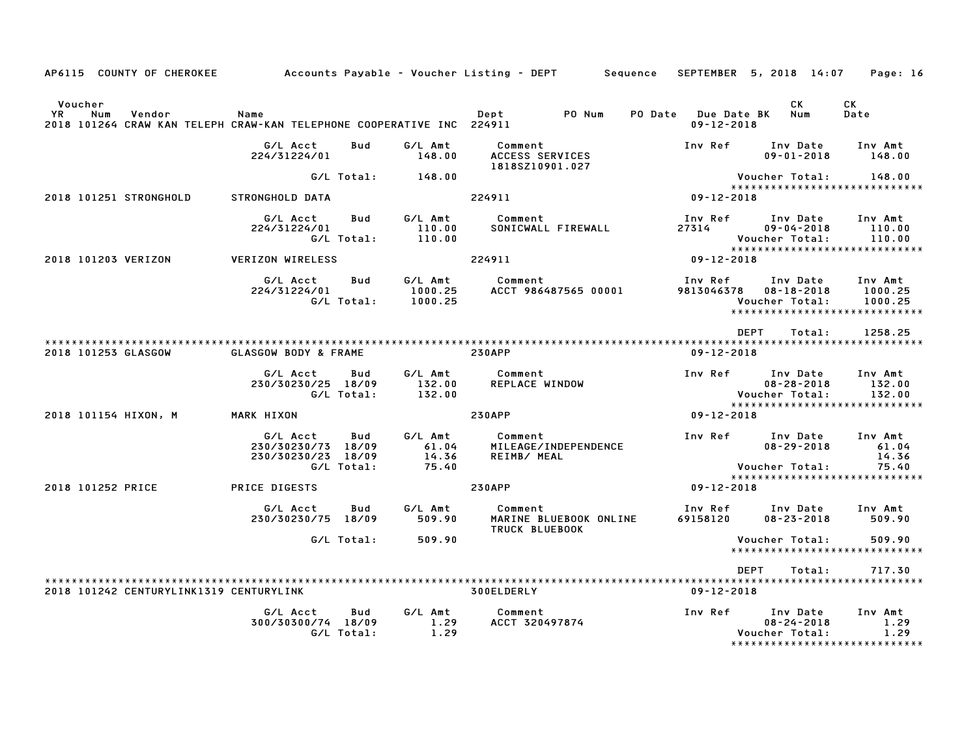|                |                        | AP6115 COUNTY OF CHEROKEE               |                                                                               |                          |                                    | Accounts Payable – Voucher Listing – DEPT |                        | Sequence       |                                        | SEPTEMBER 5, 2018 14:07                                                          | Page: 16                           |
|----------------|------------------------|-----------------------------------------|-------------------------------------------------------------------------------|--------------------------|------------------------------------|-------------------------------------------|------------------------|----------------|----------------------------------------|----------------------------------------------------------------------------------|------------------------------------|
| Voucher<br>YR. | Num                    | Vendor                                  | Name<br>2018 101264 CRAW KAN TELEPH CRAW-KAN TELEPHONE COOPERATIVE INC 224911 |                          |                                    | Dept                                      | PO Num                 | <b>PO Date</b> | <b>Due Date BK</b><br>$09 - 12 - 2018$ | CK<br>Num                                                                        | СK<br>Date                         |
|                |                        |                                         | G/L Acct<br>224/31224/01                                                      | Bud                      | G/L Amt<br>148.00                  | Comment<br>ACCESS SERVICES                |                        |                | Inv Ref                                | Inv Date<br>$09 - 01 - 2018$                                                     | Inv Amt<br>148.00                  |
|                |                        |                                         |                                                                               | G/L Total:               | 148.00                             | 1818SZ10901.027                           |                        |                |                                        | Voucher Total:                                                                   | 148.00                             |
|                | 2018 101251 STRONGHOLD |                                         | STRONGHOLD DATA                                                               |                          |                                    | 224911                                    |                        |                | $09 - 12 - 2018$                       | ******************************                                                   |                                    |
|                |                        |                                         | G/L Acct<br>224/31224/01                                                      | <b>Bud</b><br>G/L Total: | G/L Amt<br>110.00<br>110.00        | Comment                                   | SONICWALL FIREWALL     |                | Inv Ref<br>27314                       | Inv Date<br>$09 - 04 - 2018$<br>Voucher Total:                                   | Inv Amt<br>110.00<br>110.00        |
|                | 2018 101203 VERIZON    |                                         | <b>VERIZON WIRELESS</b>                                                       |                          |                                    | 224911                                    |                        |                | $09 - 12 - 2018$                       | *****************************                                                    |                                    |
|                |                        |                                         | G/L Acct<br>224/31224/01                                                      | Bud<br>G/L Total:        | G/L Amt<br>1000.25<br>1000.25      | Comment                                   | ACCT 986487565 00001   |                | Inv Ref<br>9813046378                  | Inv Date<br>$08 - 18 - 2018$<br>Voucher Total:<br>*****************************  | Inv Amt<br>1000.25<br>1000.25      |
|                |                        |                                         |                                                                               |                          |                                    |                                           |                        |                |                                        | <b>DEPT</b><br>Total:                                                            | 1258.25                            |
|                | 2018 101253 GLASGOW    |                                         | GLASGOW BODY & FRAME                                                          |                          |                                    | <b>230APP</b>                             |                        |                | $09 - 12 - 2018$                       |                                                                                  |                                    |
|                |                        |                                         | G/L Acct<br>230/30230/25 18/09                                                | Bud<br>G/L Total:        | G/L Amt<br>132.00<br>132.00        | Comment<br>REPLACE WINDOW                 |                        |                | Inv Ref                                | Inv Date<br>$08 - 28 - 2018$<br>Voucher Total:                                   | Inv Amt<br>132.00<br>132.00        |
|                | 2018 101154 HIXON, M   |                                         | MARK HIXON                                                                    |                          |                                    | <b>230APP</b>                             |                        |                | $09 - 12 - 2018$                       | *****************************                                                    |                                    |
|                |                        |                                         | G/L Acct<br>230/30230/73 18/09<br>230/30230/23 18/09                          | Bud<br>G/L Total:        | G/L Amt<br>61.04<br>14.36<br>75.40 | Comment<br>REIMB/ MEAL                    | MILEAGE/INDEPENDENCE   |                | Inv Ref                                | Inv Date<br>$08 - 29 - 2018$<br>Voucher Total:                                   | Inv Amt<br>61.04<br>14.36<br>75.40 |
|                | 2018 101252 PRICE      |                                         | PRICE DIGESTS                                                                 |                          |                                    | <b>230APP</b>                             |                        |                | $09 - 12 - 2018$                       | ******************************                                                   |                                    |
|                |                        |                                         | G/L Acct<br>230/30230/75 18/09                                                | Bud                      | G/L Amt<br>509.90                  | Comment<br>TRUCK BLUEBOOK                 | MARINE BLUEBOOK ONLINE |                | Inv Ref<br>69158120                    | Inv Date<br>$08 - 23 - 2018$                                                     | Inv Amt<br>509.90                  |
|                |                        |                                         |                                                                               | G/L Total:               | 509.90                             |                                           |                        |                |                                        | Voucher Total:<br>*****************************                                  | 509.90                             |
|                |                        |                                         |                                                                               |                          |                                    |                                           |                        |                |                                        | <b>DEPT</b><br>Total:                                                            | 717.30                             |
|                |                        | 2018 101242 CENTURYLINK1319 CENTURYLINK |                                                                               |                          |                                    | 300ELDERLY                                |                        |                | $09 - 12 - 2018$                       |                                                                                  |                                    |
|                |                        |                                         | G/L Acct<br>300/30300/74 18/09                                                | Bud<br>G/L Total:        | G/L Amt<br>1.29<br>1.29            | Comment<br>ACCT 320497874                 |                        |                | Inv Ref                                | Inv Date<br>$08 - 24 - 2018$<br>Voucher Total:<br>****************************** | Inv Amt<br>1.29<br>1.29            |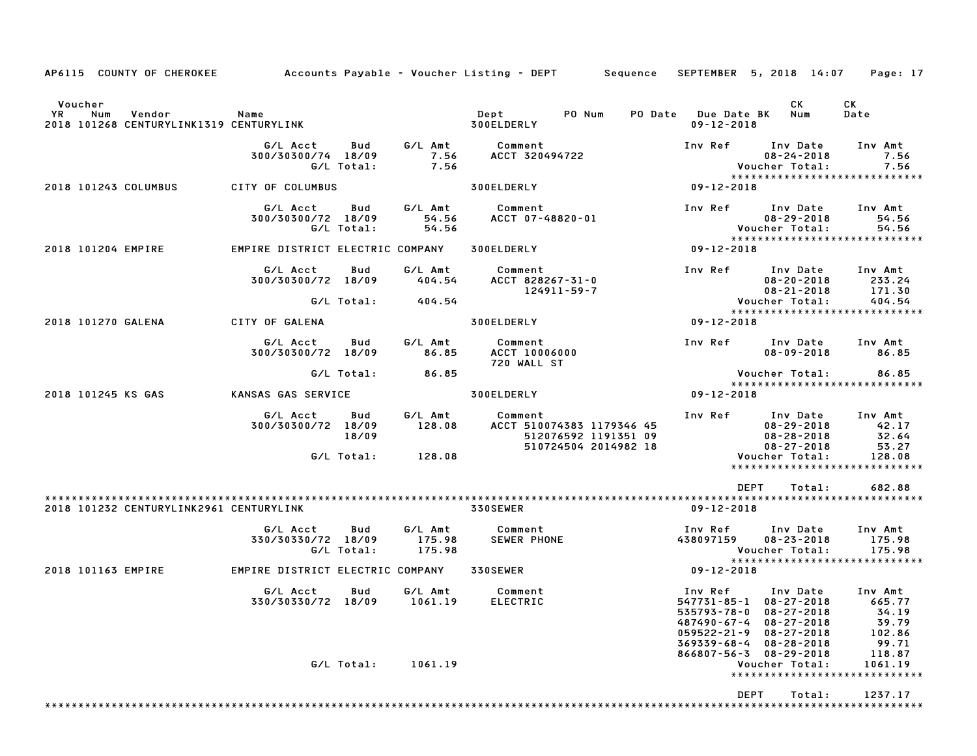| AP6115 COUNTY OF CHEROKEE                                                 |                                  |                   |                             | Accounts Payable – Voucher Listing – DEPT         Sequence                           |                                                                                                     | SEPTEMBER 5, 2018 14:07                                                                  | Page: 17                                                   |
|---------------------------------------------------------------------------|----------------------------------|-------------------|-----------------------------|--------------------------------------------------------------------------------------|-----------------------------------------------------------------------------------------------------|------------------------------------------------------------------------------------------|------------------------------------------------------------|
| Voucher<br>YR<br>Num<br>Vendor<br>2018 101268 CENTURYLINK1319 CENTURYLINK | Name                             |                   |                             | Dept<br>PO Num<br>300ELDERLY                                                         | PO Date Due Date BK<br>$09 - 12 - 2018$                                                             | CK<br>Num                                                                                | CK<br>Date                                                 |
|                                                                           | G/L Acct<br>300/30300/74 18/09   | Bud<br>G/L Total: | G/L Amt<br>7.56<br>7.56     | Comment<br>ACCT 320494722                                                            | Inv Ref                                                                                             | Inv Date<br>$08 - 24 - 2018$<br>Voucher Total:                                           | Inv Amt<br>7.56<br>7.56<br>*****************************   |
| 2018 101243 COLUMBUS                                                      | CITY OF COLUMBUS                 |                   |                             | 300ELDERLY                                                                           | $09 - 12 - 2018$                                                                                    |                                                                                          |                                                            |
|                                                                           | G/L Acct<br>300/30300/72 18/09   | Bud<br>G/L Total: | G/L Amt<br>54.56<br>54.56   | Comment<br>ACCT 07-48820-01                                                          | Inv Ref                                                                                             | Inv Date<br>$08 - 29 - 2018$<br>Voucher Total:                                           | Inv Amt<br>54.56<br>54.56<br>***************************** |
| 2018 101204 EMPIRE                                                        | EMPIRE DISTRICT ELECTRIC COMPANY |                   |                             | 300ELDERLY                                                                           | $09 - 12 - 2018$                                                                                    |                                                                                          |                                                            |
|                                                                           | G/L Acct<br>300/30300/72 18/09   | Bud               | G/L Amt<br>404.54           | Comment<br>ACCT 828267-31-0<br>124911-59-7                                           | Inv Ref                                                                                             | Inv Date<br>$08 - 20 - 2018$<br>$08 - 21 - 2018$                                         | Inv Amt<br>233.24<br>171.30                                |
|                                                                           |                                  | G/L Total:        | 404.54                      |                                                                                      |                                                                                                     | Voucher Total:<br>Voucher Total:                                                         | 404.54<br>*****************************                    |
| 2018 101270 GALENA                                                        | CITY OF GALENA                   |                   |                             | 300ELDERLY                                                                           | 09-12-2018                                                                                          |                                                                                          |                                                            |
|                                                                           | G/L Acct<br>300/30300/72 18/09   | Bud               | G/L Amt<br>86.85            | Comment<br><b>ACCT 10006000</b><br>720 WALL ST                                       | Inv Ref                                                                                             | Inv Date Inv Amt<br>$08 - 09 - 2018$                                                     | 86.85                                                      |
|                                                                           |                                  | G/L Total:        | 86.85                       |                                                                                      |                                                                                                     | Voucher Total:                                                                           | 86.85<br>*****************************                     |
| 2018 101245 KS GAS                                                        | KANSAS GAS SERVICE               |                   |                             | 300ELDERLY                                                                           | 09-12-2018                                                                                          |                                                                                          |                                                            |
|                                                                           | G/L Acct<br>300/30300/72 18/09   | Bud<br>18/09      | G/L Amt<br>128.08           | Comment<br>ACCT 510074383 1179346 45<br>512076592 1191351 09<br>510724504 2014982 18 | 08-29-2018<br>08-29-2018<br>08-27-2018<br>08-27-2018<br>Voucher Total:                              | Inv Ref Inv Date                                                                         | Inv Amt<br>42.17<br>32.64<br>53.27                         |
|                                                                           |                                  | G/L Total:        | 128.08                      |                                                                                      |                                                                                                     |                                                                                          | 128.08<br>*****************************                    |
|                                                                           |                                  |                   |                             |                                                                                      | <b>DEPT</b>                                                                                         | Total:                                                                                   | 682.88                                                     |
| 2018 101232 CENTURYLINK2961 CENTURYLINK                                   |                                  |                   |                             | 330SEWER                                                                             | $09 - 12 - 2018$                                                                                    |                                                                                          |                                                            |
|                                                                           | G/L Acct<br>330/30330/72 18/09   | Bud<br>G/L Total: | G/L Amt<br>175.98<br>175.98 | Comment<br><b>SEWER PHONE</b>                                                        | Inv Ref<br>438097159                                                                                | Inv Date<br>$08 - 23 - 2018$<br>Voucher Total:                                           | Inv Amt<br>175.98<br>175.98                                |
| 2018 101163 EMPIRE                                                        | EMPIRE DISTRICT ELECTRIC COMPANY |                   |                             | <b>330SEWER</b>                                                                      | 09-12-2018                                                                                          |                                                                                          | *****************************                              |
|                                                                           | G/L Acct<br>330/30330/72 18/09   | Bud               | G/L Amt<br>1061.19          | Comment<br><b>ELECTRIC</b>                                                           | Inv Ref<br>547731-85-1 08-27-2018<br>535793-78-0<br>487490-67-4<br>$059522 - 21 - 9$<br>369339-68-4 | Inv Date<br>$08 - 27 - 2018$<br>$08 - 27 - 2018$<br>$08 - 27 - 2018$<br>$08 - 28 - 2018$ | Inv Amt<br>665.77<br>34.19<br>39.79<br>102.86<br>99.71     |
|                                                                           |                                  |                   | G/L Total: 1061.19          |                                                                                      | 866807-56-3 08-29-2018                                                                              | Voucher Total:                                                                           | 118.87<br>1061.19<br>******************************        |
|                                                                           |                                  |                   |                             |                                                                                      | <b>DEPT</b>                                                                                         | Total:                                                                                   | 1237.17                                                    |